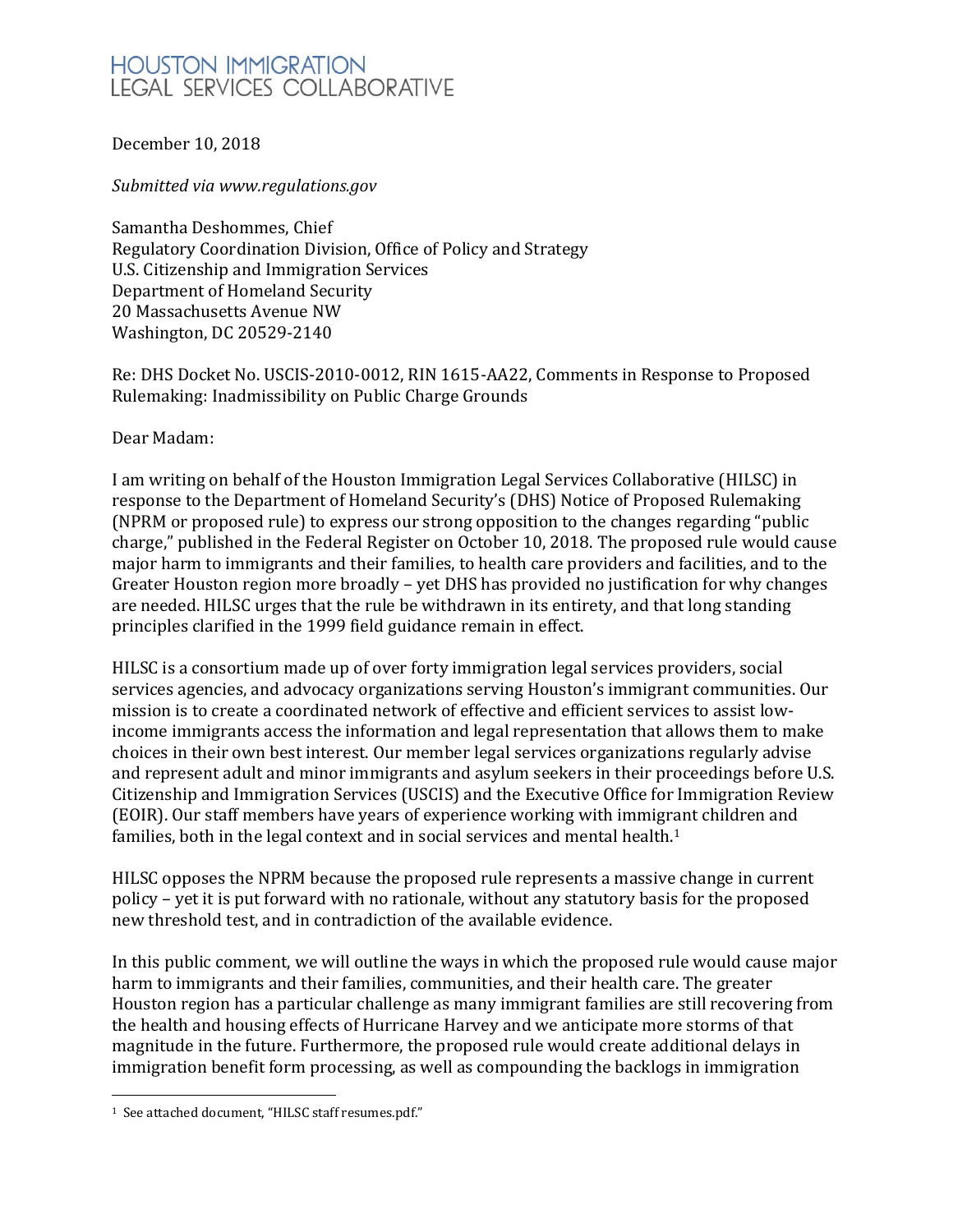# **HOUSTON IMMIGRATION** LEGAL SERVICES COLLABORATIVE

December 10, 2018

*Submitted via www.regulations.gov*

Samantha Deshommes, Chief Regulatory Coordination Division, Office of Policy and Strategy U.S. Citizenship and Immigration Services Department of Homeland Security 20 Massachusetts Avenue NW Washington, DC 20529-2140

Re: DHS Docket No. USCIS-2010-0012, RIN 1615-AA22, Comments in Response to Proposed Rulemaking: Inadmissibility on Public Charge Grounds

Dear Madam:

I am writing on behalf of the Houston Immigration Legal Services Collaborative (HILSC) in response to the Department of Homeland Security's (DHS) Notice of Proposed Rulemaking (NPRM or proposed rule) to express our strong opposition to the changes regarding "public charge," published in the Federal Register on October 10, 2018. The proposed rule would cause major harm to immigrants and their families, to health care providers and facilities, and to the Greater Houston region more broadly – yet DHS has provided no justification for why changes are needed. HILSC urges that the rule be withdrawn in its entirety, and that long standing principles clarified in the 1999 field guidance remain in effect.

HILSC is a consortium made up of over forty immigration legal services providers, social services agencies, and advocacy organizations serving Houston's immigrant communities. Our mission is to create a coordinated network of effective and efficient services to assist lowincome immigrants access the information and legal representation that allows them to make choices in their own best interest. Our member legal services organizations regularly advise and represent adult and minor immigrants and asylum seekers in their proceedings before U.S. Citizenship and Immigration Services (USCIS) and the Executive Office for Immigration Review (EOIR). Our staff members have years of experience working with immigrant children and families, both in the legal context and in social services and mental health.<sup>1</sup>

HILSC opposes the NPRM because the proposed rule represents a massive change in current policy – yet it is put forward with no rationale, without any statutory basis for the proposed new threshold test, and in contradiction of the available evidence.

In this public comment, we will outline the ways in which the proposed rule would cause major harm to immigrants and their families, communities, and their health care. The greater Houston region has a particular challenge as many immigrant families are still recovering from the health and housing effects of Hurricane Harvey and we anticipate more storms of that magnitude in the future. Furthermore, the proposed rule would create additional delays in immigration benefit form processing, as well as compounding the backlogs in immigration

 $\overline{\phantom{a}}$ 1 See attached document, "HILSC staff resumes.pdf."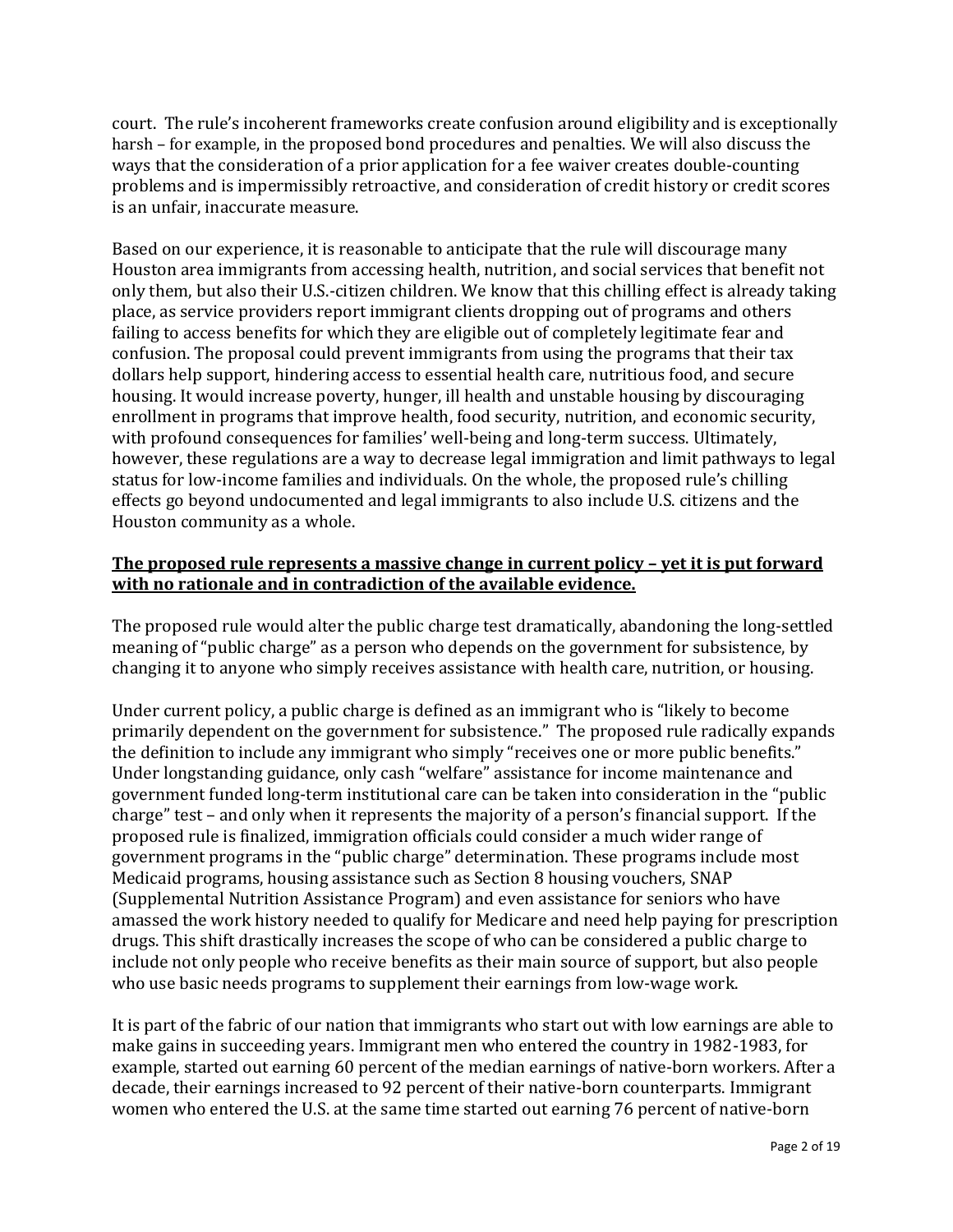court. The rule's incoherent frameworks create confusion around eligibility and is exceptionally harsh – for example, in the proposed bond procedures and penalties. We will also discuss the ways that the consideration of a prior application for a fee waiver creates double-counting problems and is impermissibly retroactive, and consideration of credit history or credit scores is an unfair, inaccurate measure.

Based on our experience, it is reasonable to anticipate that the rule will discourage many Houston area immigrants from accessing health, nutrition, and social services that benefit not only them, but also their U.S.-citizen children. We know that this chilling effect is already taking place, as service providers report immigrant clients dropping out of programs and others failing to access benefits for which they are eligible out of completely legitimate fear and confusion. The proposal could prevent immigrants from using the programs that their tax dollars help support, hindering access to essential health care, nutritious food, and secure housing. It would increase poverty, hunger, ill health and unstable housing by discouraging enrollment in programs that improve health, food security, nutrition, and economic security, with profound consequences for families' well-being and long-term success. Ultimately, however, these regulations are a way to decrease legal immigration and limit pathways to legal status for low-income families and individuals. On the whole, the proposed rule's chilling effects go beyond undocumented and legal immigrants to also include U.S. citizens and the Houston community as a whole.

#### **The proposed rule represents a massive change in current policy – yet it is put forward with no rationale and in contradiction of the available evidence.**

The proposed rule would alter the public charge test dramatically, abandoning the long-settled meaning of "public charge" as a person who depends on the government for subsistence, by changing it to anyone who simply receives assistance with health care, nutrition, or housing.

Under current policy, a public charge is defined as an immigrant who is "likely to become primarily dependent on the government for subsistence." The proposed rule radically expands the definition to include any immigrant who simply "receives one or more public benefits." Under longstanding guidance, only cash "welfare" assistance for income maintenance and government funded long-term institutional care can be taken into consideration in the "public charge" test – and only when it represents the majority of a person's financial support. If the proposed rule is finalized, immigration officials could consider a much wider range of government programs in the "public charge" determination. These programs include most Medicaid programs, housing assistance such as Section 8 housing vouchers, SNAP (Supplemental Nutrition Assistance Program) and even assistance for seniors who have amassed the work history needed to qualify for Medicare and need help paying for prescription drugs. This shift drastically increases the scope of who can be considered a public charge to include not only people who receive benefits as their main source of support, but also people who use basic needs programs to supplement their earnings from low-wage work.

It is part of the fabric of our nation that immigrants who start out with low earnings are able to make gains in succeeding years. Immigrant men who entered the country in 1982-1983, for example, started out earning 60 percent of the median earnings of native-born workers. After a decade, their earnings increased to 92 percent of their native-born counterparts. Immigrant women who entered the U.S. at the same time started out earning 76 percent of native-born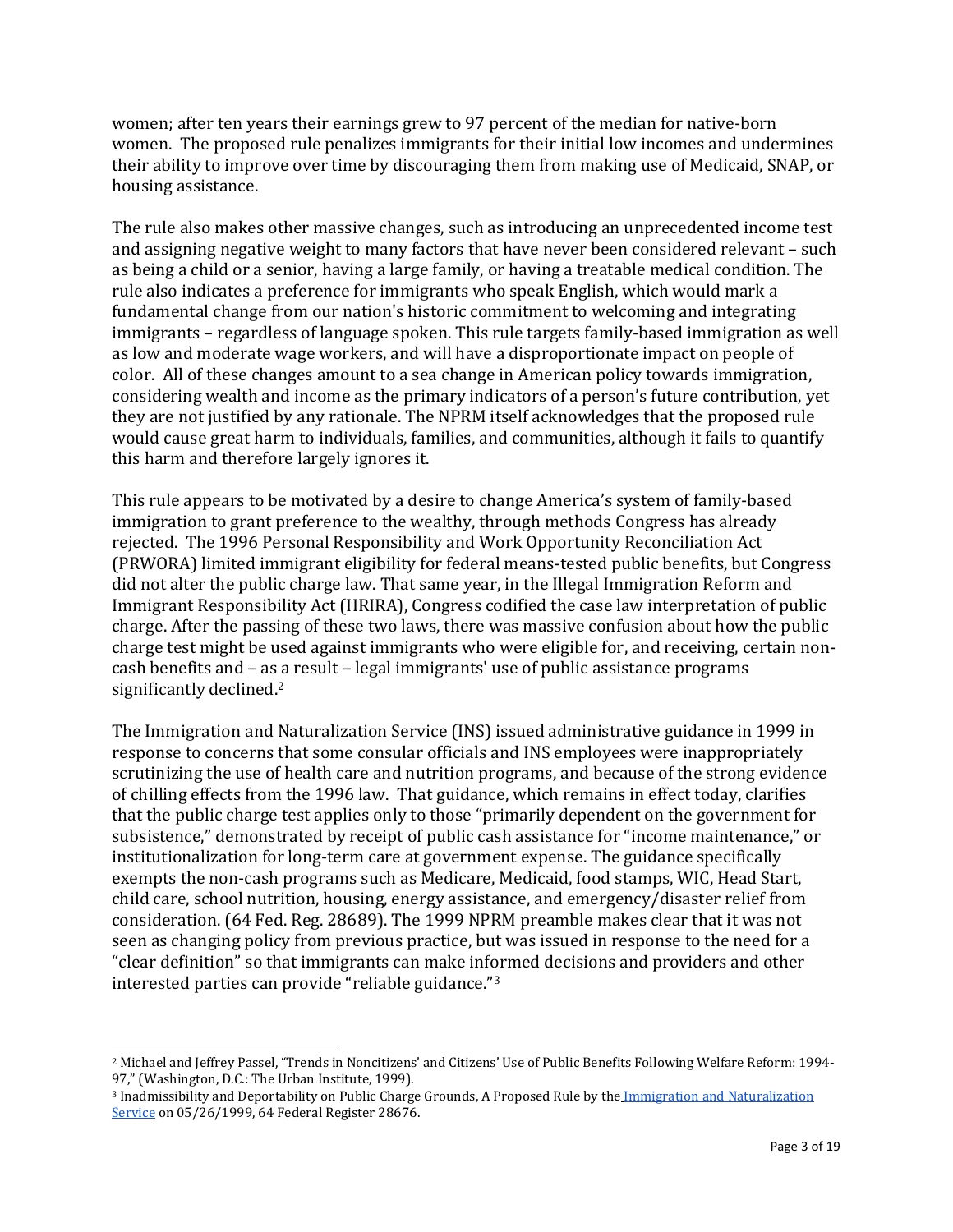women; after ten years their earnings grew to 97 percent of the median for native-born women. The proposed rule penalizes immigrants for their initial low incomes and undermines their ability to improve over time by discouraging them from making use of Medicaid, SNAP, or housing assistance.

The rule also makes other massive changes, such as introducing an unprecedented income test and assigning negative weight to many factors that have never been considered relevant – such as being a child or a senior, having a large family, or having a treatable medical condition. The rule also indicates a preference for immigrants who speak English, which would mark a fundamental change from our nation's historic commitment to welcoming and integrating immigrants – regardless of language spoken. This rule targets family-based immigration as well as low and moderate wage workers, and will have a disproportionate impact on people of color. All of these changes amount to a sea change in American policy towards immigration, considering wealth and income as the primary indicators of a person's future contribution, yet they are not justified by any rationale. The NPRM itself acknowledges that the proposed rule would cause great harm to individuals, families, and communities, although it fails to quantify this harm and therefore largely ignores it.

This rule appears to be motivated by a desire to change America's system of family-based immigration to grant preference to the wealthy, through methods Congress has already rejected. The 1996 Personal Responsibility and Work Opportunity Reconciliation Act (PRWORA) limited immigrant eligibility for federal means-tested public benefits, but Congress did not alter the public charge law. That same year, in the Illegal Immigration Reform and Immigrant Responsibility Act (IIRIRA), Congress codified the case law interpretation of public charge. After the passing of these two laws, there was massive confusion about how the public charge test might be used against immigrants who were eligible for, and receiving, certain noncash benefits and – as a result – legal immigrants' use of public assistance programs significantly declined.<sup>2</sup>

The Immigration and Naturalization Service (INS) issued administrative guidance in 1999 in response to concerns that some consular officials and INS employees were inappropriately scrutinizing the use of health care and nutrition programs, and because of the strong evidence of chilling effects from the 1996 law. That guidance, which remains in effect today, clarifies that the public charge test applies only to those "primarily dependent on the government for subsistence," demonstrated by receipt of public cash assistance for "income maintenance," or institutionalization for long-term care at government expense. The guidance specifically exempts the non-cash programs such as Medicare, Medicaid, food stamps, WIC, Head Start, child care, school nutrition, housing, energy assistance, and emergency/disaster relief from consideration. (64 Fed. Reg. 28689). The 1999 NPRM preamble makes clear that it was not seen as changing policy from previous practice, but was issued in response to the need for a "clear definition" so that immigrants can make informed decisions and providers and other interested parties can provide "reliable guidance."<sup>3</sup>

 $\overline{a}$ 

<sup>2</sup> Michael and Jeffrey Passel, "Trends in Noncitizens' and Citizens' Use of Public Benefits Following Welfare Reform: 1994- 97," (Washington, D.C.: The Urban Institute, 1999).

<sup>&</sup>lt;sup>3</sup> Inadmissibility and Deportability on Public Charge Grounds, A Proposed Rule by the Immigration and Naturalization [Service](https://www.federalregister.gov/agencies/immigration-and-naturalization-service) on 05/26/1999, 64 Federal Register 28676.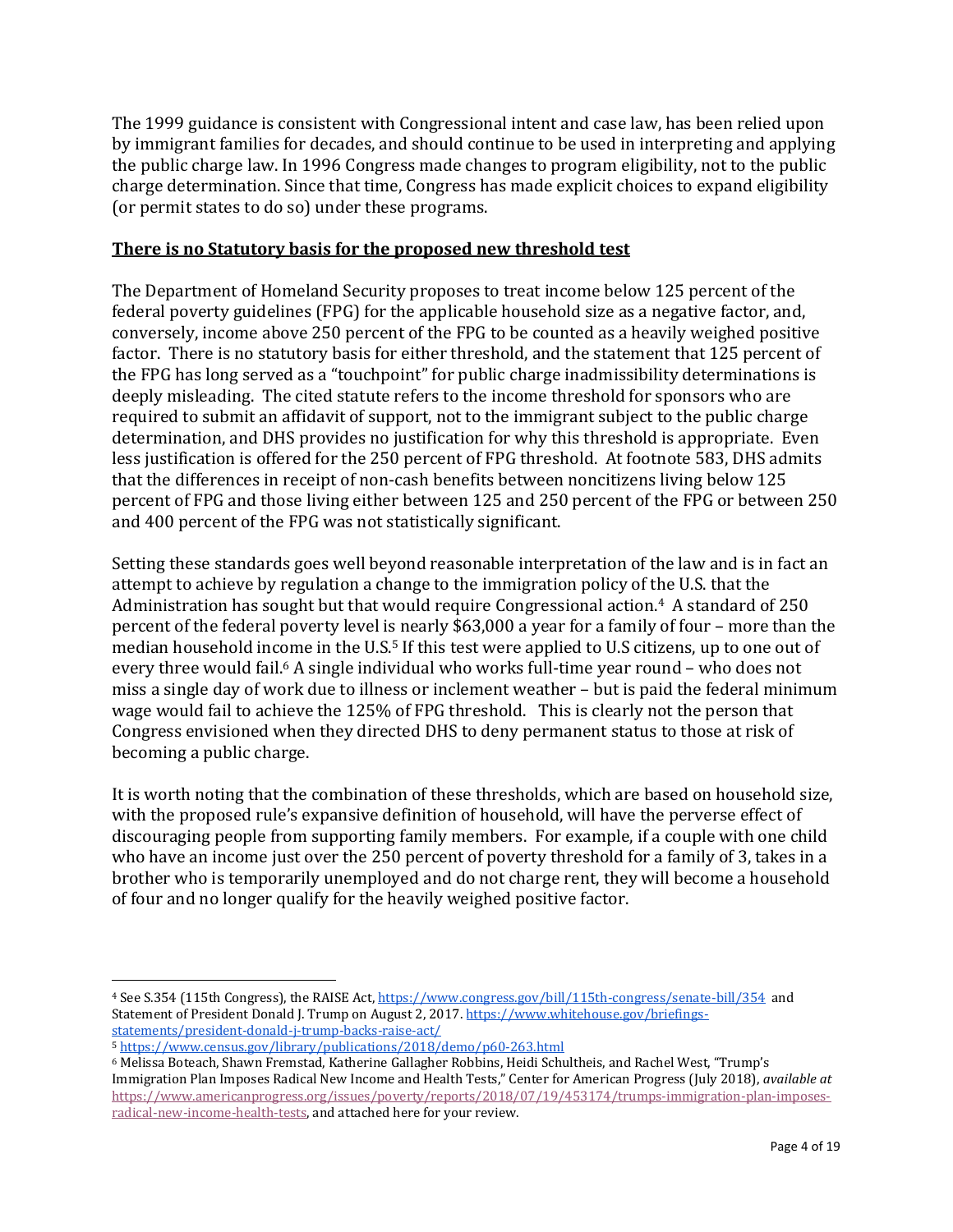The 1999 guidance is consistent with Congressional intent and case law, has been relied upon by immigrant families for decades, and should continue to be used in interpreting and applying the public charge law. In 1996 Congress made changes to program eligibility, not to the public charge determination. Since that time, Congress has made explicit choices to expand eligibility (or permit states to do so) under these programs.

## **There is no Statutory basis for the proposed new threshold test**

The Department of Homeland Security proposes to treat income below 125 percent of the federal poverty guidelines (FPG) for the applicable household size as a negative factor, and, conversely, income above 250 percent of the FPG to be counted as a heavily weighed positive factor. There is no statutory basis for either threshold, and the statement that 125 percent of the FPG has long served as a "touchpoint" for public charge inadmissibility determinations is deeply misleading. The cited statute refers to the income threshold for sponsors who are required to submit an affidavit of support, not to the immigrant subject to the public charge determination, and DHS provides no justification for why this threshold is appropriate. Even less justification is offered for the 250 percent of FPG threshold. At footnote 583, DHS admits that the differences in receipt of non-cash benefits between noncitizens living below 125 percent of FPG and those living either between 125 and 250 percent of the FPG or between 250 and 400 percent of the FPG was not statistically significant.

Setting these standards goes well beyond reasonable interpretation of the law and is in fact an attempt to achieve by regulation a change to the immigration policy of the U.S. that the Administration has sought but that would require Congressional action.4 A standard of 250 percent of the federal poverty level is nearly \$63,000 a year for a family of four – more than the median household income in the U.S.<sup>5</sup> If this test were applied to U.S citizens, up to one out of every three would fail. <sup>6</sup> A single individual who works full-time year round – who does not miss a single day of work due to illness or inclement weather – but is paid the federal minimum wage would fail to achieve the 125% of FPG threshold. This is clearly not the person that Congress envisioned when they directed DHS to deny permanent status to those at risk of becoming a public charge.

It is worth noting that the combination of these thresholds, which are based on household size, with the proposed rule's expansive definition of household, will have the perverse effect of discouraging people from supporting family members. For example, if a couple with one child who have an income just over the 250 percent of poverty threshold for a family of 3, takes in a brother who is temporarily unemployed and do not charge rent, they will become a household of four and no longer qualify for the heavily weighed positive factor.

<sup>4</sup> See S.354 (115th Congress), the RAISE Act[, https://www.congress.gov/bill/115th-congress/senate-bill/354](https://www.congress.gov/bill/115th-congress/senate-bill/354) and Statement of President Donald J. Trump on August 2, 2017[. https://www.whitehouse.gov/briefings](https://www.whitehouse.gov/briefings-statements/president-donald-j-trump-backs-raise-act/)[statements/president-donald-j-trump-backs-raise-act/](https://www.whitehouse.gov/briefings-statements/president-donald-j-trump-backs-raise-act/)

<sup>5</sup> <https://www.census.gov/library/publications/2018/demo/p60-263.html>

<sup>6</sup> Melissa Boteach, Shawn Fremstad, Katherine Gallagher Robbins, Heidi Schultheis, and Rachel West, "Trump's Immigration Plan Imposes Radical New Income and Health Tests," Center for American Progress (July 2018), *available at* [https://www.americanprogress.org/issues/poverty/reports/2018/07/19/453174/trumps-immigration-plan-imposes](https://www.americanprogress.org/issues/poverty/reports/2018/07/19/453174/trumps-immigration-plan-imposes-radical-new-income-health-tests/)[radical-new-income-health-tests,](https://www.americanprogress.org/issues/poverty/reports/2018/07/19/453174/trumps-immigration-plan-imposes-radical-new-income-health-tests/) and attached here for your review.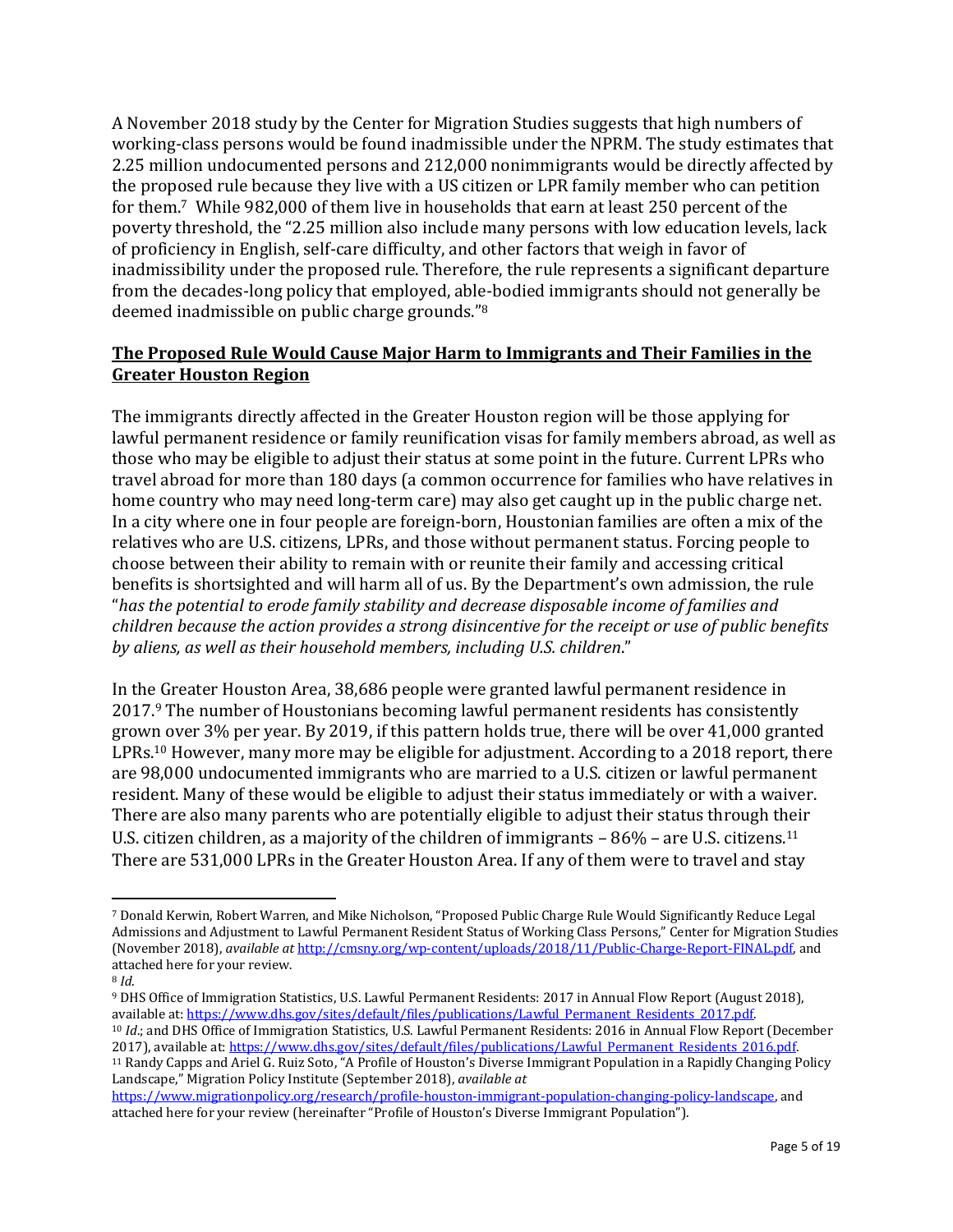A November 2018 study by the Center for Migration Studies suggests that high numbers of working-class persons would be found inadmissible under the NPRM. The study estimates that 2.25 million undocumented persons and 212,000 nonimmigrants would be directly affected by the proposed rule because they live with a US citizen or LPR family member who can petition for them.<sup>7</sup> While 982,000 of them live in households that earn at least 250 percent of the poverty threshold, the "2.25 million also include many persons with low education levels, lack of proficiency in English, self-care difficulty, and other factors that weigh in favor of inadmissibility under the proposed rule. Therefore, the rule represents a significant departure from the decades-long policy that employed, able-bodied immigrants should not generally be deemed inadmissible on public charge grounds." 8

## **The Proposed Rule Would Cause Major Harm to Immigrants and Their Families in the Greater Houston Region**

The immigrants directly affected in the Greater Houston region will be those applying for lawful permanent residence or family reunification visas for family members abroad, as well as those who may be eligible to adjust their status at some point in the future. Current LPRs who travel abroad for more than 180 days (a common occurrence for families who have relatives in home country who may need long-term care) may also get caught up in the public charge net. In a city where one in four people are foreign-born, Houstonian families are often a mix of the relatives who are U.S. citizens, LPRs, and those without permanent status. Forcing people to choose between their ability to remain with or reunite their family and accessing critical benefits is shortsighted and will harm all of us. By the Department's own admission, the rule "*has the potential to erode family stability and decrease disposable income of families and children because the action provides a strong disincentive for the receipt or use of public benefits by aliens, as well as their household members, including U.S. children*."

In the Greater Houston Area, 38,686 people were granted lawful permanent residence in 2017.<sup>9</sup> The number of Houstonians becoming lawful permanent residents has consistently grown over 3% per year. By 2019, if this pattern holds true, there will be over 41,000 granted LPRs.<sup>10</sup> However, many more may be eligible for adjustment. According to a 2018 report, there are 98,000 undocumented immigrants who are married to a U.S. citizen or lawful permanent resident. Many of these would be eligible to adjust their status immediately or with a waiver. There are also many parents who are potentially eligible to adjust their status through their U.S. citizen children, as a majority of the children of immigrants - 86% - are U.S. citizens.<sup>11</sup> There are 531,000 LPRs in the Greater Houston Area. If any of them were to travel and stay

<sup>7</sup> Donald Kerwin, Robert Warren, and Mike Nicholson, "Proposed Public Charge Rule Would Significantly Reduce Legal Admissions and Adjustment to Lawful Permanent Resident Status of Working Class Persons," Center for Migration Studies (November 2018), *available at* [http://cmsny.org/wp-content/uploads/2018/11/Public-Charge-Report-FINAL.pdf,](http://cmsny.org/wp-content/uploads/2018/11/Public-Charge-Report-FINAL.pdf) and attached here for your review.

<sup>8</sup> *Id*.

<sup>9</sup> DHS Office of Immigration Statistics, U.S. Lawful Permanent Residents: 2017 in Annual Flow Report (August 2018), available at: https://www.dhs.gov/sites/default/files/publications/Lawful\_Permanent\_Residents\_2017.pdf. <sup>10</sup> *Id*.; and DHS Office of Immigration Statistics, U.S. Lawful Permanent Residents: 2016 in Annual Flow Report (December 2017), available at: https://www.dhs.gov/sites/default/files/publications/Lawful Permanent Residents 2016.pdf.

<sup>11</sup> Randy Capps and Ariel G. Ruiz Soto, "A Profile of Houston's Diverse Immigrant Population in a Rapidly Changing Policy Landscape," Migration Policy Institute (September 2018), *available at*

[https://www.migrationpolicy.org/research/profile-houston-immigrant-population-changing-policy-landscape,](https://www.migrationpolicy.org/research/profile-houston-immigrant-population-changing-policy-landscape) and attached here for your review (hereinafter "Profile of Houston's Diverse Immigrant Population").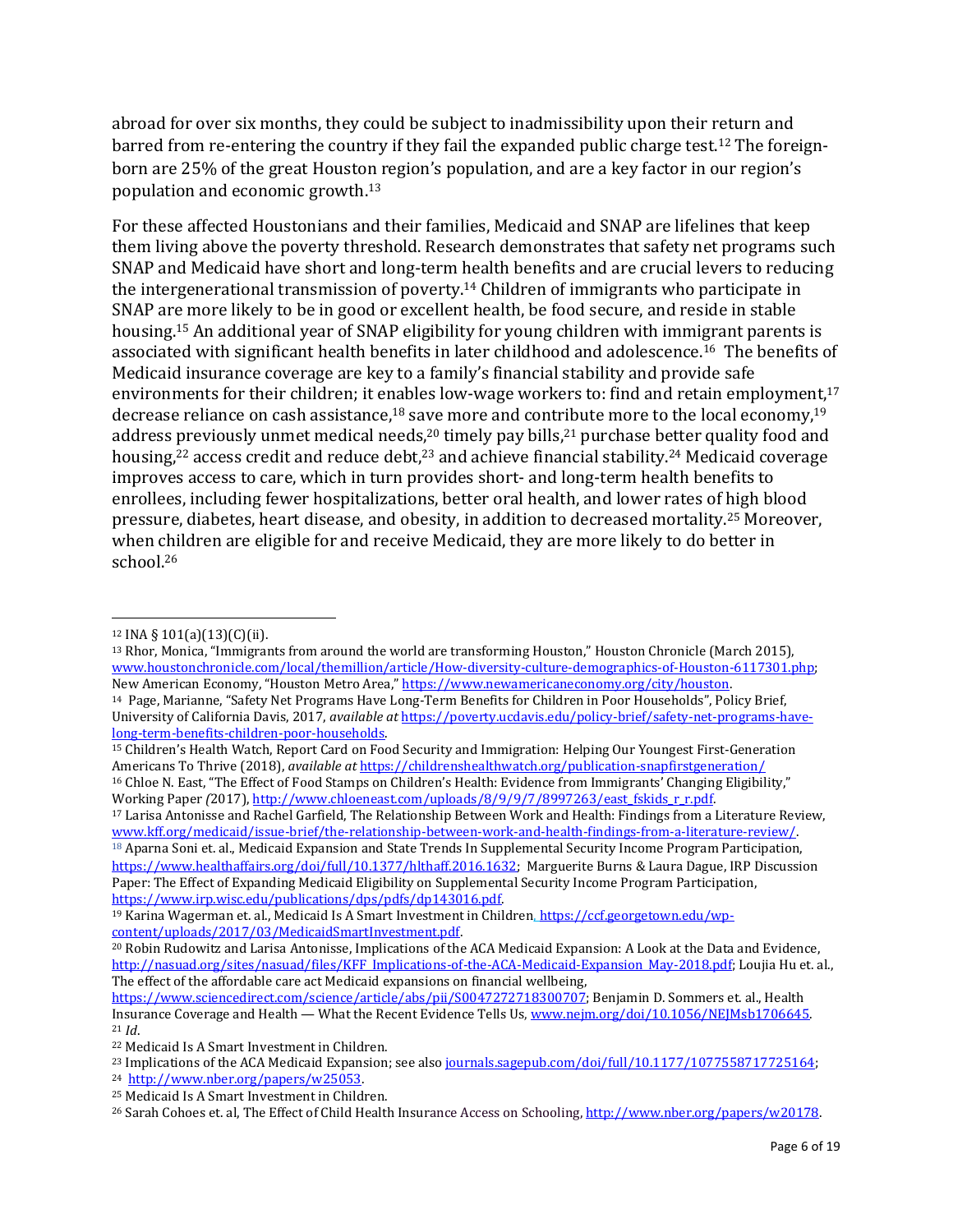abroad for over six months, they could be subject to inadmissibility upon their return and barred from re-entering the country if they fail the expanded public charge test.<sup>12</sup> The foreignborn are 25% of the great Houston region's population, and are a key factor in our region's population and economic growth.<sup>13</sup>

For these affected Houstonians and their families, Medicaid and SNAP are lifelines that keep them living above the poverty threshold. Research demonstrates that safety net programs such SNAP and Medicaid have short and long-term health benefits and are crucial levers to reducing the intergenerational transmission of poverty.<sup>14</sup> Children of immigrants who participate in SNAP are more likely to be in good or excellent health, be food secure, and reside in stable housing.<sup>15</sup> An additional year of SNAP eligibility for young children with immigrant parents is associated with significant health benefits in later childhood and adolescence.<sup>16</sup> The benefits of Medicaid insurance coverage are key to a family's financial stability and provide safe environments for their children; it enables low-wage workers to: find and retain employment,<sup>17</sup> decrease reliance on cash assistance,<sup>18</sup> save more and contribute more to the local economy,<sup>19</sup> address previously unmet medical needs,<sup>20</sup> timely pay bills,<sup>21</sup> purchase better quality food and housing, $22$  access credit and reduce debt, $23$  and achieve financial stability. $24$  Medicaid coverage improves access to care, which in turn provides short- and long-term health benefits to enrollees, including fewer hospitalizations, better oral health, and lower rates of high blood pressure, diabetes, heart disease, and obesity, in addition to decreased mortality.<sup>25</sup> Moreover, when children are eligible for and receive Medicaid, they are more likely to do better in school.<sup>26</sup>

 $\overline{a}$ 

<sup>17</sup> Larisa Antonisse and Rachel Garfield, The Relationship Between Work and Health: Findings from a Literature Review, [www.kff.org/medicaid/issue-brief/the-relationship-between-work-and-health-findings-from-a-literature-review/.](http://www.kff.org/medicaid/issue-brief/the-relationship-between-work-and-health-findings-from-a-literature-review/) <sup>18</sup> Aparna Soni et. al., Medicaid Expansion and State Trends In Supplemental Security Income Program Participation, [https://www.healthaffairs.org/doi/full/10.1377/hlthaff.2016.1632;](https://www.healthaffairs.org/doi/full/10.1377/hlthaff.2016.1632) Marguerite Burns & Laura Dague, IRP Discussion Paper: The Effect of Expanding Medicaid Eligibility on Supplemental Security Income Program Participation, [https://www.irp.wisc.edu/publications/dps/pdfs/dp143016.pdf.](https://www.irp.wisc.edu/publications/dps/pdfs/dp143016.pdf)

 $12$  INA § 101(a)(13)(C)(ii).

<sup>13</sup> Rhor, Monica, "Immigrants from around the world are transforming Houston," Houston Chronicle (March 2015), [www.houstonchronicle.com/local/themillion/article/How-diversity-culture-demographics-of-Houston-6117301.php;](http://www.houstonchronicle.com/local/themillion/article/How-diversity-culture-demographics-of-Houston-6117301.php)  New American Economy, "Houston Metro Area," [https://www.newamericaneconomy.org/city/houston.](https://www.newamericaneconomy.org/city/houston)

<sup>14</sup> Page, Marianne, "Safety Net Programs Have Long-Term Benefits for Children in Poor Households", Policy Brief, University of California Davis, 2017, *available at* [https://poverty.ucdavis.edu/policy-brief/safety-net-programs-have](https://poverty.ucdavis.edu/policy-brief/safety-net-programs-have-long-term-benefits-children-poor-households)[long-term-benefits-children-poor-households.](https://poverty.ucdavis.edu/policy-brief/safety-net-programs-have-long-term-benefits-children-poor-households)

<sup>15</sup> Children's Health Watch, Report Card on Food Security and Immigration: Helping Our Youngest First-Generation Americans To Thrive (2018), *available at* <https://childrenshealthwatch.org/publication-snapfirstgeneration/> <sup>16</sup> Chloe N. East, "The Effect of Food Stamps on Children's Health: Evidence from Immigrants' Changing Eligibility," Working Paper (2017), http://www.chloeneast.com/uploads/8/9/9/7/8997263/east fskids\_r\_r.pdf.

<sup>&</sup>lt;sup>19</sup> Karina Wagerman et. al., Medicaid Is A Smart Investment in Children, [https://ccf.georgetown.edu/wp](https://ccf.georgetown.edu/wp-content/uploads/2017/03/MedicaidSmartInvestment.pdf)[content/uploads/2017/03/MedicaidSmartInvestment.pdf.](https://ccf.georgetown.edu/wp-content/uploads/2017/03/MedicaidSmartInvestment.pdf)

<sup>20</sup> Robin Rudowitz and Larisa Antonisse, Implications of the ACA Medicaid Expansion: A Look at the Data and Evidence, [http://nasuad.org/sites/nasuad/files/KFF\\_Implications-of-the-ACA-Medicaid-Expansion\\_May-2018.pdf;](http://nasuad.org/sites/nasuad/files/KFF_Implications-of-the-ACA-Medicaid-Expansion_May-2018.pdf) Loujia Hu et. al., The effect of the affordable care act Medicaid expansions on financial wellbeing,

[https://www.sciencedirect.com/science/article/abs/pii/S0047272718300707;](https://www.sciencedirect.com/science/article/abs/pii/S0047272718300707) Benjamin D. Sommers et. al., Health Insurance Coverage and Health — What the Recent Evidence Tells Us[, www.nejm.org/doi/10.1056/NEJMsb1706645.](http://www.nejm.org/doi/10.1056/NEJMsb1706645) <sup>21</sup> *Id*.

<sup>22</sup> Medicaid Is A Smart Investment in Children.

<sup>&</sup>lt;sup>23</sup> Implications of the ACA Medicaid Expansion; see als[o journals.sagepub.com/doi/full/10.1177/1077558717725164;](http://journals.sagepub.com/doi/full/10.1177/1077558717725164) <sup>24</sup> [http://www.nber.org/papers/w25053.](http://www.nber.org/papers/w25053)

<sup>25</sup> Medicaid Is A Smart Investment in Children.

<sup>&</sup>lt;sup>26</sup> Sarah Cohoes et. al, The Effect of Child Health Insurance Access on Schooling, http://www.nber.org/papers/w20178.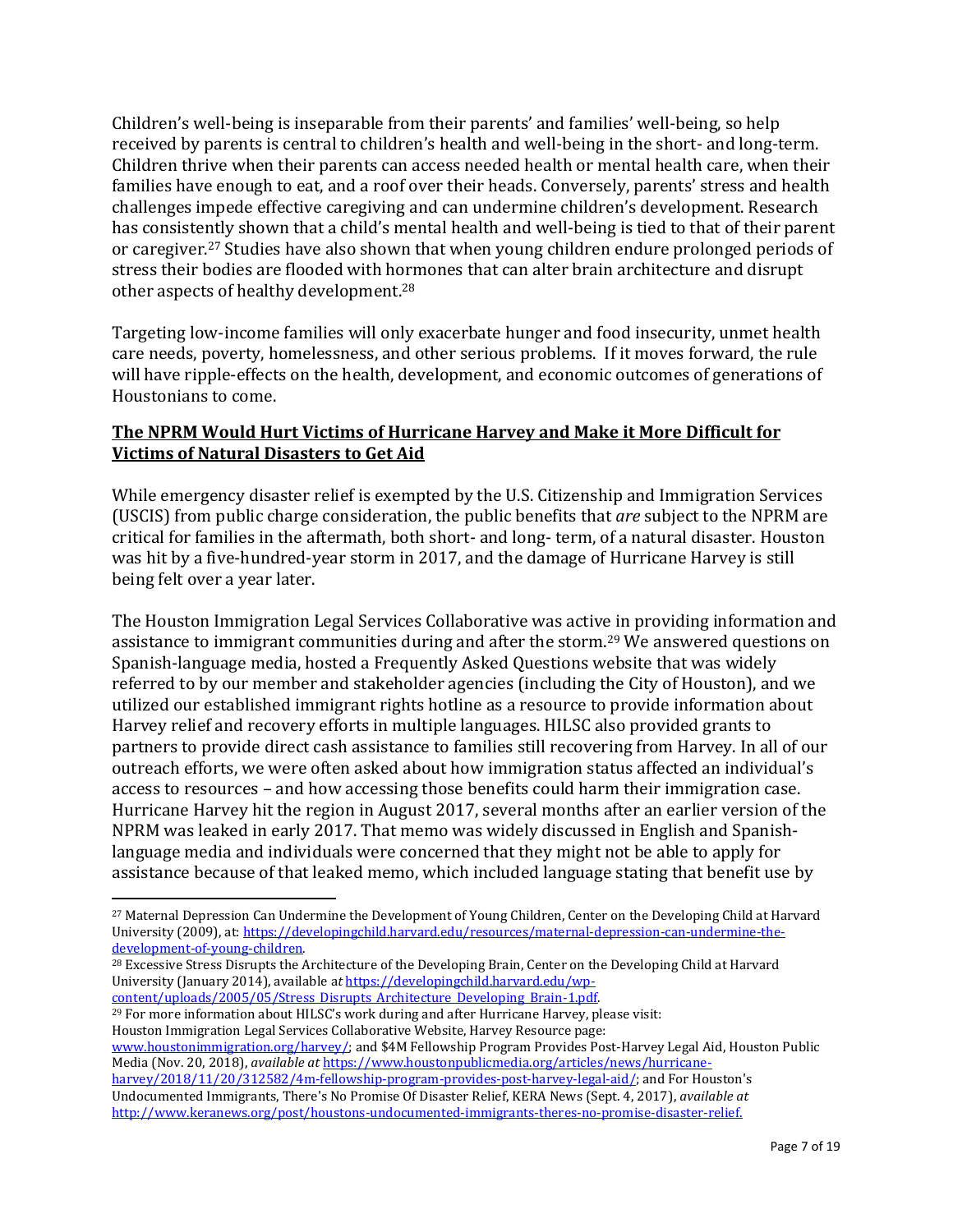Children's well-being is inseparable from their parents' and families' well-being, so help received by parents is central to children's health and well-being in the short- and long-term. Children thrive when their parents can access needed health or mental health care, when their families have enough to eat, and a roof over their heads. Conversely, parents' stress and health challenges impede effective caregiving and can undermine children's development. Research has consistently shown that a child's mental health and well-being is tied to that of their parent or caregiver.<sup>27</sup> Studies have also shown that when young children endure prolonged periods of stress their bodies are flooded with hormones that can alter brain architecture and disrupt other aspects of healthy development.<sup>28</sup>

Targeting low-income families will only exacerbate hunger and food insecurity, unmet health care needs, poverty, homelessness, and other serious problems. If it moves forward, the rule will have ripple-effects on the health, development, and economic outcomes of generations of Houstonians to come.

## **The NPRM Would Hurt Victims of Hurricane Harvey and Make it More Difficult for Victims of Natural Disasters to Get Aid**

While emergency disaster relief is exempted by the U.S. Citizenship and Immigration Services (USCIS) from public charge consideration, the public benefits that *are* subject to the NPRM are critical for families in the aftermath, both short- and long- term, of a natural disaster. Houston was hit by a five-hundred-year storm in 2017, and the damage of Hurricane Harvey is still being felt over a year later.

The Houston Immigration Legal Services Collaborative was active in providing information and assistance to immigrant communities during and after the storm.<sup>29</sup> We answered questions on Spanish-language media, hosted a Frequently Asked Questions website that was widely referred to by our member and stakeholder agencies (including the City of Houston), and we utilized our established immigrant rights hotline as a resource to provide information about Harvey relief and recovery efforts in multiple languages. HILSC also provided grants to partners to provide direct cash assistance to families still recovering from Harvey. In all of our outreach efforts, we were often asked about how immigration status affected an individual's access to resources – and how accessing those benefits could harm their immigration case. Hurricane Harvey hit the region in August 2017, several months after an earlier version of the NPRM was leaked in early 2017. That memo was widely discussed in English and Spanishlanguage media and individuals were concerned that they might not be able to apply for assistance because of that leaked memo, which included language stating that benefit use by

<sup>28</sup> Excessive Stress Disrupts the Architecture of the Developing Brain, Center on the Developing Child at Harvard University (January 2014), available a*t* [https://developingchild.harvard.edu/wp-](https://developingchild.harvard.edu/wp-content/uploads/2005/05/Stress_Disrupts_Architecture_Developing_Brain-1.pdf)

 $\overline{\phantom{a}}$ 

[content/uploads/2005/05/Stress\\_Disrupts\\_Architecture\\_Developing\\_Brain-1.pdf.](https://developingchild.harvard.edu/wp-content/uploads/2005/05/Stress_Disrupts_Architecture_Developing_Brain-1.pdf) <sup>29</sup> For more information about HILSC's work during and after Hurricane Harvey, please visit: Houston Immigration Legal Services Collaborative Website, Harvey Resource page: [www.houstonimmigration.org/harvey/;](http://www.houstonimmigration.org/harvey/) and \$4M Fellowship Program Provides Post-Harvey Legal Aid, Houston Public Media (Nov. 20, 2018), *available at* [https://www.houstonpublicmedia.org/articles/news/hurricane](https://www.houstonpublicmedia.org/articles/news/hurricane-harvey/2018/11/20/312582/4m-fellowship-program-provides-post-harvey-legal-aid/)[harvey/2018/11/20/312582/4m-fellowship-program-provides-post-harvey-legal-aid/;](https://www.houstonpublicmedia.org/articles/news/hurricane-harvey/2018/11/20/312582/4m-fellowship-program-provides-post-harvey-legal-aid/) and For Houston's Undocumented Immigrants, There's No Promise Of Disaster Relief, KERA News (Sept. 4, 2017), *available at* [http://www.keranews.org/post/houstons-undocumented-immigrants-theres-no-promise-disaster-relief.](http://www.keranews.org/post/houstons-undocumented-immigrants-theres-no-promise-disaster-relief)

<sup>27</sup> Maternal Depression Can Undermine the Development of Young Children, Center on the Developing Child at Harvard University (2009), at[: https://developingchild.harvard.edu/resources/maternal-depression-can-undermine-the](https://developingchild.harvard.edu/resources/maternal-depression-can-undermine-the-development-of-young-children)[development-of-young-children.](https://developingchild.harvard.edu/resources/maternal-depression-can-undermine-the-development-of-young-children)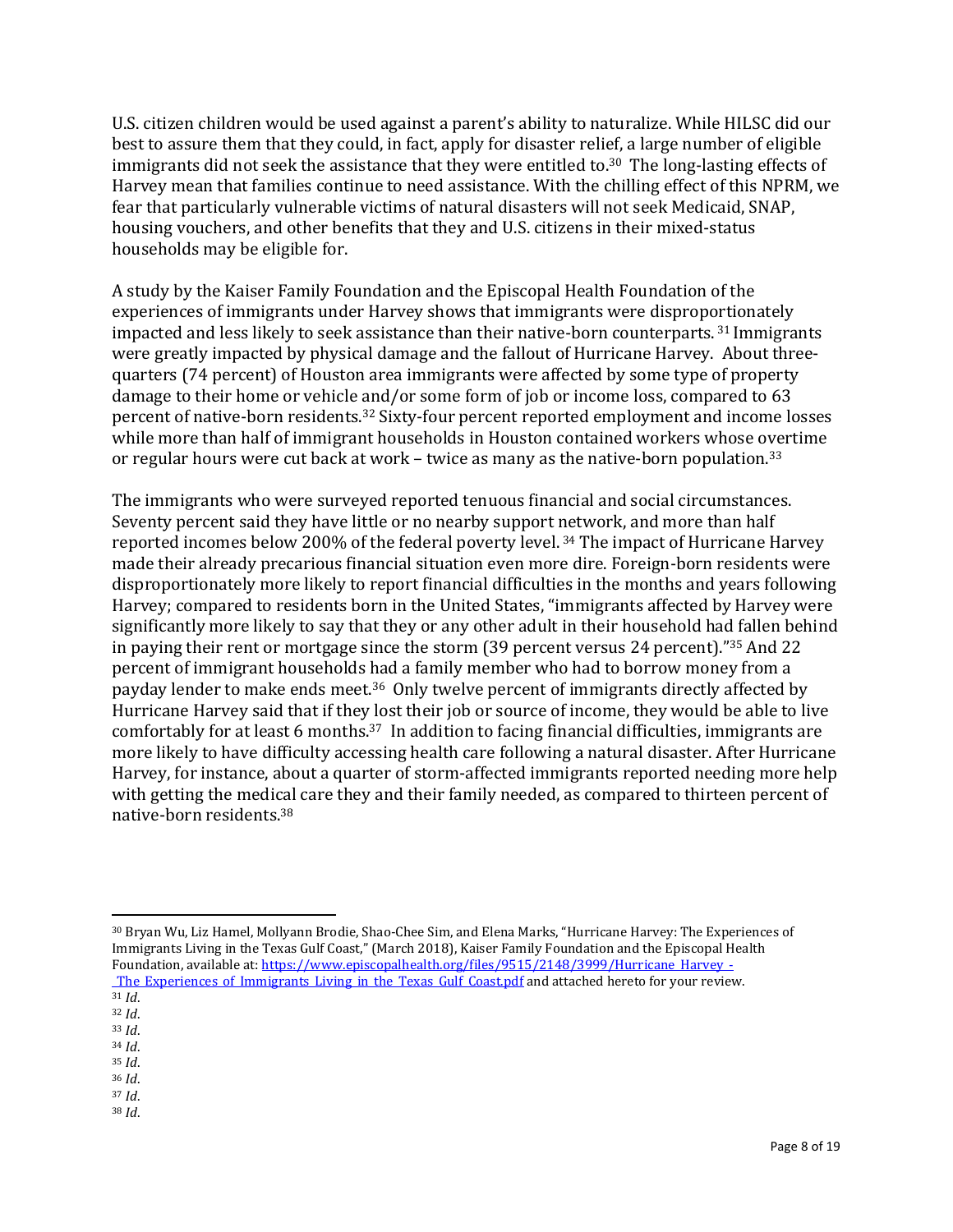U.S. citizen children would be used against a parent's ability to naturalize. While HILSC did our best to assure them that they could, in fact, apply for disaster relief, a large number of eligible immigrants did not seek the assistance that they were entitled to.<sup>30</sup> The long-lasting effects of Harvey mean that families continue to need assistance. With the chilling effect of this NPRM, we fear that particularly vulnerable victims of natural disasters will not seek Medicaid, SNAP, housing vouchers, and other benefits that they and U.S. citizens in their mixed-status households may be eligible for.

A study by the Kaiser Family Foundation and the Episcopal Health Foundation of the experiences of immigrants under Harvey shows that immigrants were disproportionately impacted and less likely to seek assistance than their native-born counterparts. <sup>31</sup> Immigrants were greatly impacted by physical damage and the fallout of Hurricane Harvey. About threequarters (74 percent) of Houston area immigrants were affected by some type of property damage to their home or vehicle and/or some form of job or income loss, compared to 63 percent of native-born residents.<sup>32</sup> Sixty-four percent reported employment and income losses while more than half of immigrant households in Houston contained workers whose overtime or regular hours were cut back at work – twice as many as the native-born population.<sup>33</sup>

The immigrants who were surveyed reported tenuous financial and social circumstances. Seventy percent said they have little or no nearby support network, and more than half reported incomes below 200% of the federal poverty level. <sup>34</sup> The impact of Hurricane Harvey made their already precarious financial situation even more dire. Foreign-born residents were disproportionately more likely to report financial difficulties in the months and years following Harvey; compared to residents born in the United States, "immigrants affected by Harvey were significantly more likely to say that they or any other adult in their household had fallen behind in paying their rent or mortgage since the storm (39 percent versus 24 percent)." <sup>35</sup> And 22 percent of immigrant households had a family member who had to borrow money from a payday lender to make ends meet. <sup>36</sup> Only twelve percent of immigrants directly affected by Hurricane Harvey said that if they lost their job or source of income, they would be able to live comfortably for at least 6 months.<sup>37</sup> In addition to facing financial difficulties, immigrants are more likely to have difficulty accessing health care following a natural disaster. After Hurricane Harvey, for instance, about a quarter of storm-affected immigrants reported needing more help with getting the medical care they and their family needed, as compared to thirteen percent of native-born residents.<sup>38</sup>

 $\overline{\phantom{a}}$ <sup>30</sup> Bryan Wu, Liz Hamel, Mollyann Brodie, Shao-Chee Sim, and Elena Marks, "Hurricane Harvey: The Experiences of Immigrants Living in the Texas Gulf Coast," (March 2018), Kaiser Family Foundation and the Episcopal Health Foundation, available at[: https://www.episcopalhealth.org/files/9515/2148/3999/Hurricane\\_Harvey\\_-](https://www.episcopalhealth.org/files/9515/2148/3999/Hurricane_Harvey_-_The_Experiences_of_Immigrants_Living_in_the_Texas_Gulf_Coast.pdf) The Experiences of Immigrants Living in the Texas Gulf Coast.pdf and attached hereto for your review.

- <sup>32</sup> *Id*. <sup>33</sup> *Id*.
- <sup>34</sup> *Id*.
- <sup>35</sup> *Id*.
- <sup>36</sup> *Id*.
- <sup>37</sup> *Id*.
- <sup>38</sup> *Id*.

 $\frac{1}{31}$  *Id.*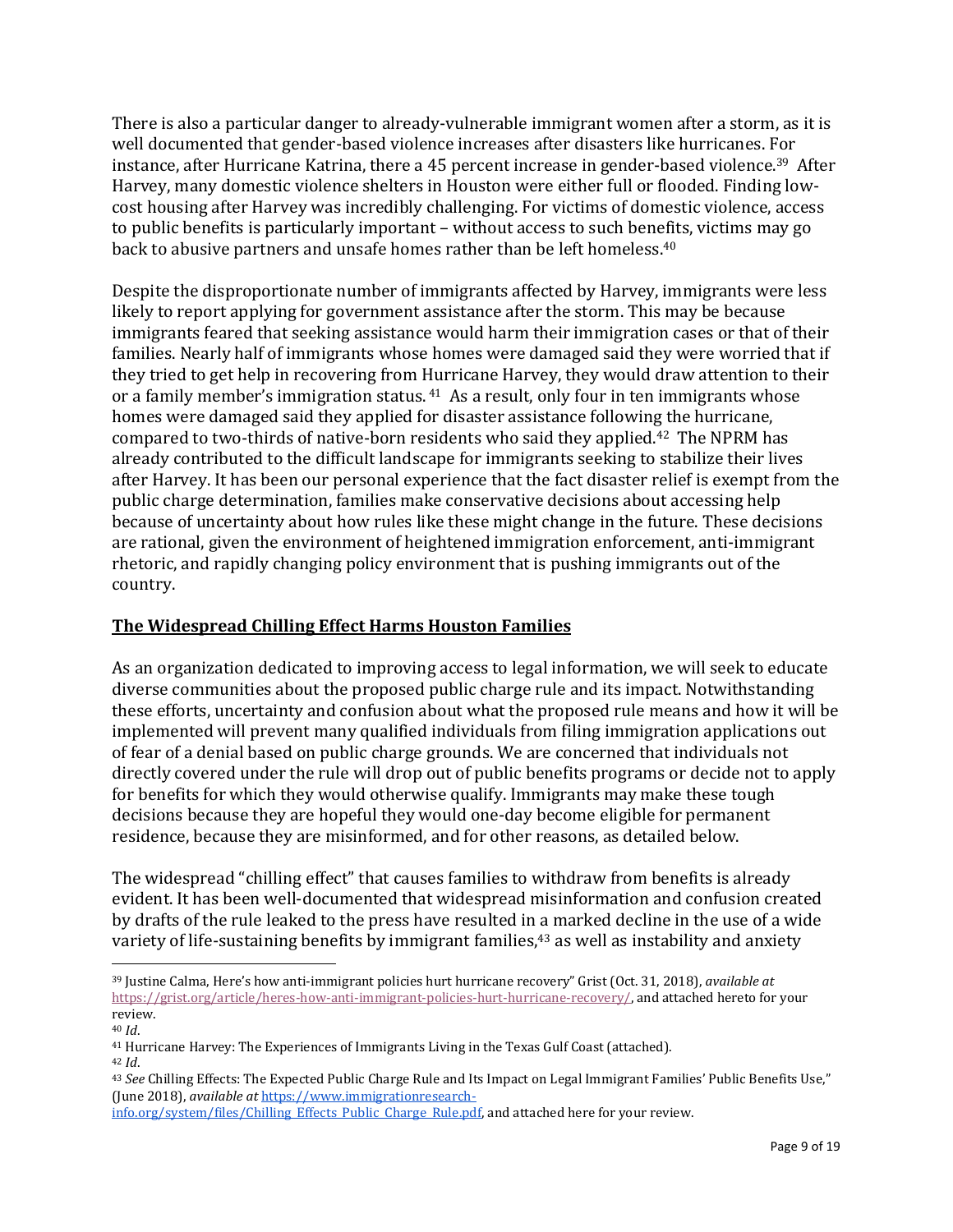There is also a particular danger to already-vulnerable immigrant women after a storm, as it is well documented that gender-based violence increases after disasters like hurricanes. For instance, after Hurricane Katrina, there a 45 percent increase in gender-based violence.<sup>39</sup> After Harvey, many domestic violence shelters in Houston were either full or flooded. Finding lowcost housing after Harvey was incredibly challenging. For victims of domestic violence, access to public benefits is particularly important – without access to such benefits, victims may go back to abusive partners and unsafe homes rather than be left homeless.<sup>40</sup>

Despite the disproportionate number of immigrants affected by Harvey, immigrants were less likely to report applying for government assistance after the storm. This may be because immigrants feared that seeking assistance would harm their immigration cases or that of their families. Nearly half of immigrants whose homes were damaged said they were worried that if they tried to get help in recovering from Hurricane Harvey, they would draw attention to their or a family member's immigration status. <sup>41</sup> As a result, only four in ten immigrants whose homes were damaged said they applied for disaster assistance following the hurricane, compared to two-thirds of native-born residents who said they applied.<sup>42</sup> The NPRM has already contributed to the difficult landscape for immigrants seeking to stabilize their lives after Harvey. It has been our personal experience that the fact disaster relief is exempt from the public charge determination, families make conservative decisions about accessing help because of uncertainty about how rules like these might change in the future. These decisions are rational, given the environment of heightened immigration enforcement, anti-immigrant rhetoric, and rapidly changing policy environment that is pushing immigrants out of the country.

#### **The Widespread Chilling Effect Harms Houston Families**

As an organization dedicated to improving access to legal information, we will seek to educate diverse communities about the proposed public charge rule and its impact. Notwithstanding these efforts, uncertainty and confusion about what the proposed rule means and how it will be implemented will prevent many qualified individuals from filing immigration applications out of fear of a denial based on public charge grounds. We are concerned that individuals not directly covered under the rule will drop out of public benefits programs or decide not to apply for benefits for which they would otherwise qualify. Immigrants may make these tough decisions because they are hopeful they would one-day become eligible for permanent residence, because they are misinformed, and for other reasons, as detailed below.

The widespread "chilling effect" that causes families to withdraw from benefits is already evident. It has been well-documented that widespread misinformation and confusion created by drafts of the rule leaked to the press have resulted in a marked decline in the use of a wide variety of life-sustaining benefits by immigrant families,<sup>43</sup> as well as instability and anxiety

<sup>40</sup> *Id*.

<sup>39</sup> Justine Calma, Here's how anti-immigrant policies hurt hurricane recovery" Grist (Oct. 31, 2018), *available at* [https://grist.org/article/heres-how-anti-immigrant-policies-hurt-hurricane-recovery/,](https://grist.org/article/heres-how-anti-immigrant-policies-hurt-hurricane-recovery/) and attached hereto for your review.

<sup>41</sup> Hurricane Harvey: The Experiences of Immigrants Living in the Texas Gulf Coast (attached).

<sup>42</sup> *Id*.

<sup>43</sup> *See* Chilling Effects: The Expected Public Charge Rule and Its Impact on Legal Immigrant Families' Public Benefits Use," (June 2018), *available at* [https://www.immigrationresearch-](https://www.immigrationresearch-info.org/system/files/Chilling_Effects_Public_Charge_Rule.pdf)

[info.org/system/files/Chilling\\_Effects\\_Public\\_Charge\\_Rule.pdf,](https://www.immigrationresearch-info.org/system/files/Chilling_Effects_Public_Charge_Rule.pdf) and attached here for your review.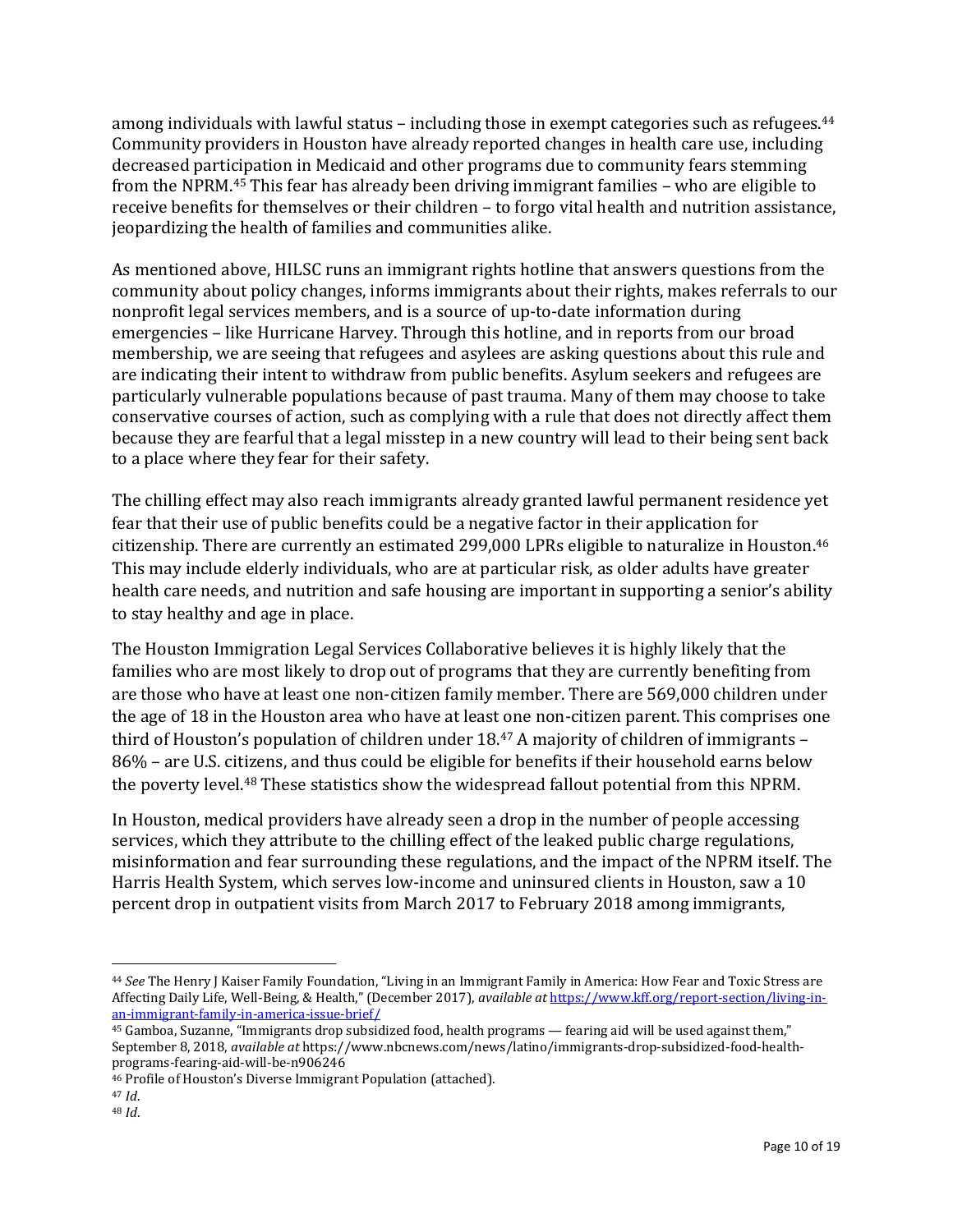among individuals with lawful status – including those in exempt categories such as refugees.<sup>44</sup> Community providers in Houston have already reported changes in health care use, including decreased participation in Medicaid and other programs due to community fears stemming from the NPRM. <sup>45</sup> This fear has already been driving immigrant families – who are eligible to receive benefits for themselves or their children – to forgo vital health and nutrition assistance, jeopardizing the health of families and communities alike.

As mentioned above, HILSC runs an immigrant rights hotline that answers questions from the community about policy changes, informs immigrants about their rights, makes referrals to our nonprofit legal services members, and is a source of up-to-date information during emergencies – like Hurricane Harvey. Through this hotline, and in reports from our broad membership, we are seeing that refugees and asylees are asking questions about this rule and are indicating their intent to withdraw from public benefits. Asylum seekers and refugees are particularly vulnerable populations because of past trauma. Many of them may choose to take conservative courses of action, such as complying with a rule that does not directly affect them because they are fearful that a legal misstep in a new country will lead to their being sent back to a place where they fear for their safety.

The chilling effect may also reach immigrants already granted lawful permanent residence yet fear that their use of public benefits could be a negative factor in their application for citizenship. There are currently an estimated 299,000 LPRs eligible to naturalize in Houston.<sup>46</sup> This may include elderly individuals, who are at particular risk, as older adults have greater health care needs, and nutrition and safe housing are important in supporting a senior's ability to stay healthy and age in place.

The Houston Immigration Legal Services Collaborative believes it is highly likely that the families who are most likely to drop out of programs that they are currently benefiting from are those who have at least one non-citizen family member. There are 569,000 children under the age of 18 in the Houston area who have at least one non-citizen parent.This comprises one third of Houston's population of children under 18.<sup>47</sup> A majority of children of immigrants -86% – are U.S. citizens, and thus could be eligible for benefits if their household earns below the poverty level.<sup>48</sup> These statistics show the widespread fallout potential from this NPRM.

In Houston, medical providers have already seen a drop in the number of people accessing services, which they attribute to the chilling effect of the leaked public charge regulations, misinformation and fear surrounding these regulations, and the impact of the NPRM itself. The Harris Health System, which serves low-income and uninsured clients in Houston, saw a 10 percent drop in outpatient visits from March 2017 to February 2018 among immigrants,

<sup>44</sup> *See* The Henry J Kaiser Family Foundation, "Living in an Immigrant Family in America: How Fear and Toxic Stress are Affecting Daily Life, Well-Being, & Health," (December 2017), *available at* [https://www.kff.org/report-section/living-in](https://www.kff.org/report-section/living-in-an-immigrant-family-in-america-issue-brief/)[an-immigrant-family-in-america-issue-brief/](https://www.kff.org/report-section/living-in-an-immigrant-family-in-america-issue-brief/) 

<sup>45</sup> Gamboa, Suzanne, "Immigrants drop subsidized food, health programs — fearing aid will be used against them," September 8, 2018, *available at* https://www.nbcnews.com/news/latino/immigrants-drop-subsidized-food-healthprograms-fearing-aid-will-be-n906246

<sup>46</sup> Profile of Houston's Diverse Immigrant Population (attached).

<sup>47</sup> *Id*.

<sup>48</sup> *Id*.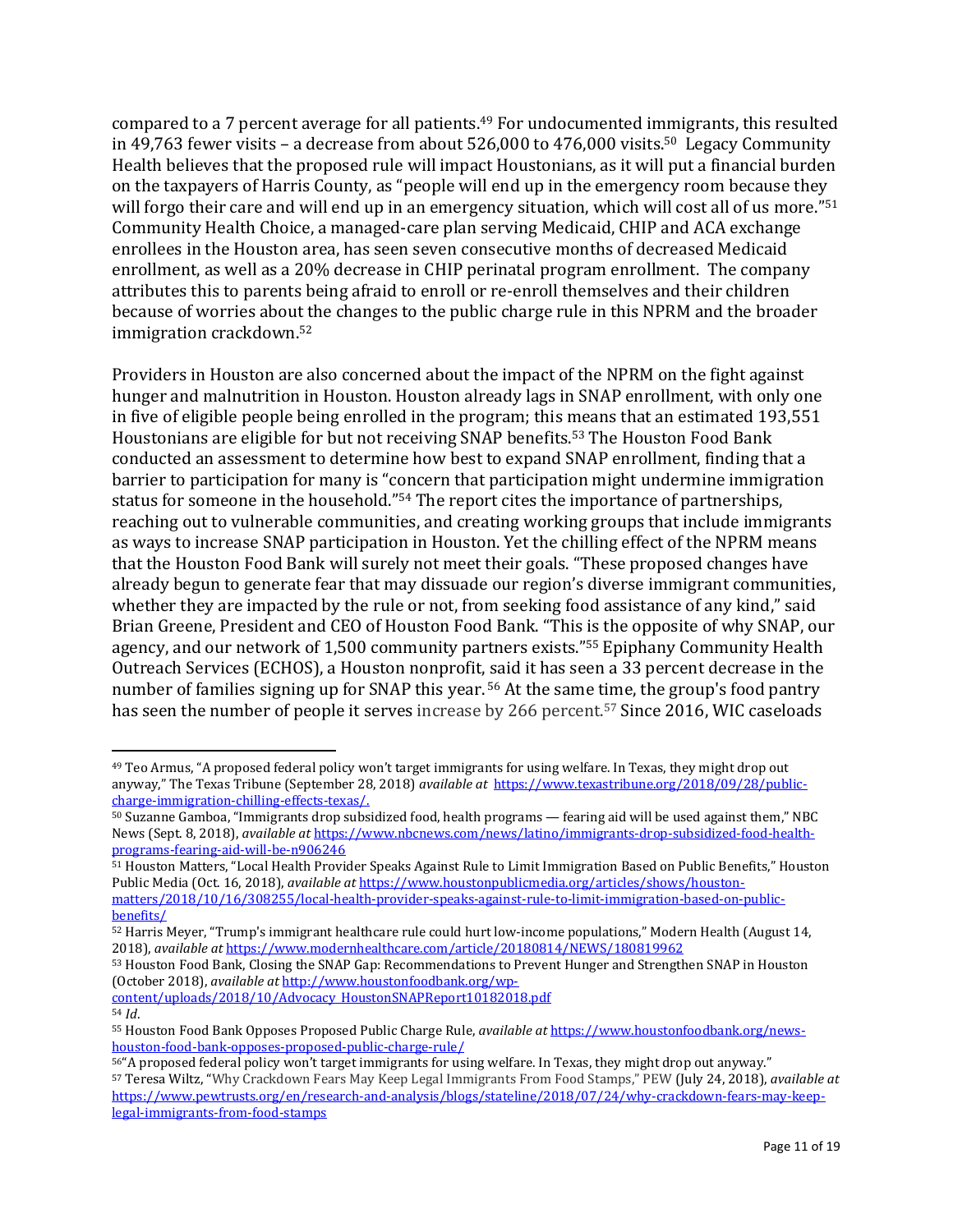compared to a 7 percent average for all patients.<sup>49</sup> For undocumented immigrants, this resulted in 49,763 fewer visits – a decrease from about  $526,000$  to  $476,000$  visits.<sup>50</sup> Legacy Community Health believes that the proposed rule will impact Houstonians, as it will put a financial burden on the taxpayers of Harris County, as "people will end up in the emergency room because they will forgo their care and will end up in an emergency situation, which will cost all of us more."<sup>51</sup> Community Health Choice, a managed-care plan serving Medicaid, CHIP and ACA exchange enrollees in the Houston area, has seen seven consecutive months of decreased Medicaid enrollment, as well as a 20% decrease in CHIP perinatal program enrollment. The company attributes this to parents being afraid to enroll or re-enroll themselves and their children because of worries about the changes to the public charge rule in this NPRM and the broader immigration crackdown.<sup>52</sup>

Providers in Houston are also concerned about the impact of the NPRM on the fight against hunger and malnutrition in Houston. Houston already lags in SNAP enrollment, with only one in five of eligible people being enrolled in the program; this means that an estimated 193,551 Houstonians are eligible for but not receiving SNAP benefits.<sup>53</sup> The Houston Food Bank conducted an assessment to determine how best to expand SNAP enrollment, finding that a barrier to participation for many is "concern that participation might undermine immigration status for someone in the household."<sup>54</sup> The report cites the importance of partnerships, reaching out to vulnerable communities, and creating working groups that include immigrants as ways to increase SNAP participation in Houston. Yet the chilling effect of the NPRM means that the Houston Food Bank will surely not meet their goals. "These proposed changes have already begun to generate fear that may dissuade our region's diverse immigrant communities, whether they are impacted by the rule or not, from seeking food assistance of any kind," said Brian Greene, President and CEO of Houston Food Bank. "This is the opposite of why SNAP, our agency, and our network of 1,500 community partners exists."<sup>55</sup> Epiphany Community Health Outreach Services (ECHOS), a Houston nonprofit, said it has seen a 33 percent decrease in the number of families signing up for SNAP this year. <sup>56</sup> At the same time, the group's food pantry has seen the number of people it serves increase by 266 percent.<sup>57</sup> Since 2016, WIC caseloads

51 Houston Matters, "Local Health Provider Speaks Against Rule to Limit Immigration Based on Public Benefits," Houston Public Media (Oct. 16, 2018), *available at* [https://www.houstonpublicmedia.org/articles/shows/houston](https://www.houstonpublicmedia.org/articles/shows/houston-matters/2018/10/16/308255/local-health-provider-speaks-against-rule-to-limit-immigration-based-on-public-benefits/)[matters/2018/10/16/308255/local-health-provider-speaks-against-rule-to-limit-immigration-based-on-public](https://www.houstonpublicmedia.org/articles/shows/houston-matters/2018/10/16/308255/local-health-provider-speaks-against-rule-to-limit-immigration-based-on-public-benefits/)[benefits/](https://www.houstonpublicmedia.org/articles/shows/houston-matters/2018/10/16/308255/local-health-provider-speaks-against-rule-to-limit-immigration-based-on-public-benefits/)

[content/uploads/2018/10/Advocacy\\_HoustonSNAPReport10182018.pdf](http://www.houstonfoodbank.org/wp-content/uploads/2018/10/Advocacy_HoustonSNAPReport10182018.pdf) <sup>54</sup> *Id*.

<sup>49</sup> Teo Armus, "A proposed federal policy won't target immigrants for using welfare. In Texas, they might drop out anyway," The Texas Tribune (September 28, 2018) *available at* [https://www.texastribune.org/2018/09/28/public](https://www.texastribune.org/2018/09/28/public-charge-immigration-chilling-effects-texas/)[charge-immigration-chilling-effects-texas/.](https://www.texastribune.org/2018/09/28/public-charge-immigration-chilling-effects-texas/) 

<sup>50</sup> Suzanne Gamboa, "Immigrants drop subsidized food, health programs — fearing aid will be used against them," NBC News (Sept. 8, 2018), *available at* [https://www.nbcnews.com/news/latino/immigrants-drop-subsidized-food-health](https://www.nbcnews.com/news/latino/immigrants-drop-subsidized-food-health-programs-fearing-aid-will-be-n906246)[programs-fearing-aid-will-be-n906246](https://www.nbcnews.com/news/latino/immigrants-drop-subsidized-food-health-programs-fearing-aid-will-be-n906246)

<sup>52</sup> Harris Meyer, "Trump's immigrant healthcare rule could hurt low-income populations," Modern Health (August 14, 2018), *available at* <https://www.modernhealthcare.com/article/20180814/NEWS/180819962>

<sup>53</sup> Houston Food Bank, Closing the SNAP Gap: Recommendations to Prevent Hunger and Strengthen SNAP in Houston (October 2018), *available at* [http://www.houstonfoodbank.org/wp-](http://www.houstonfoodbank.org/wp-content/uploads/2018/10/Advocacy_HoustonSNAPReport10182018.pdf)

<sup>55</sup> Houston Food Bank Opposes Proposed Public Charge Rule, *available at* [https://www.houstonfoodbank.org/news](https://www.houstonfoodbank.org/news-houston-food-bank-opposes-proposed-public-charge-rule/)[houston-food-bank-opposes-proposed-public-charge-rule/](https://www.houstonfoodbank.org/news-houston-food-bank-opposes-proposed-public-charge-rule/)

<sup>56</sup>"A proposed federal policy won't target immigrants for using welfare. In Texas, they might drop out anyway." <sup>57</sup> Teresa Wiltz, "Why Crackdown Fears May Keep Legal Immigrants From Food Stamps," PEW (July 24, 2018), *available at* [https://www.pewtrusts.org/en/research-and-analysis/blogs/stateline/2018/07/24/why-crackdown-fears-may-keep](https://www.pewtrusts.org/en/research-and-analysis/blogs/stateline/2018/07/24/why-crackdown-fears-may-keep-legal-immigrants-from-food-stamps)[legal-immigrants-from-food-stamps](https://www.pewtrusts.org/en/research-and-analysis/blogs/stateline/2018/07/24/why-crackdown-fears-may-keep-legal-immigrants-from-food-stamps)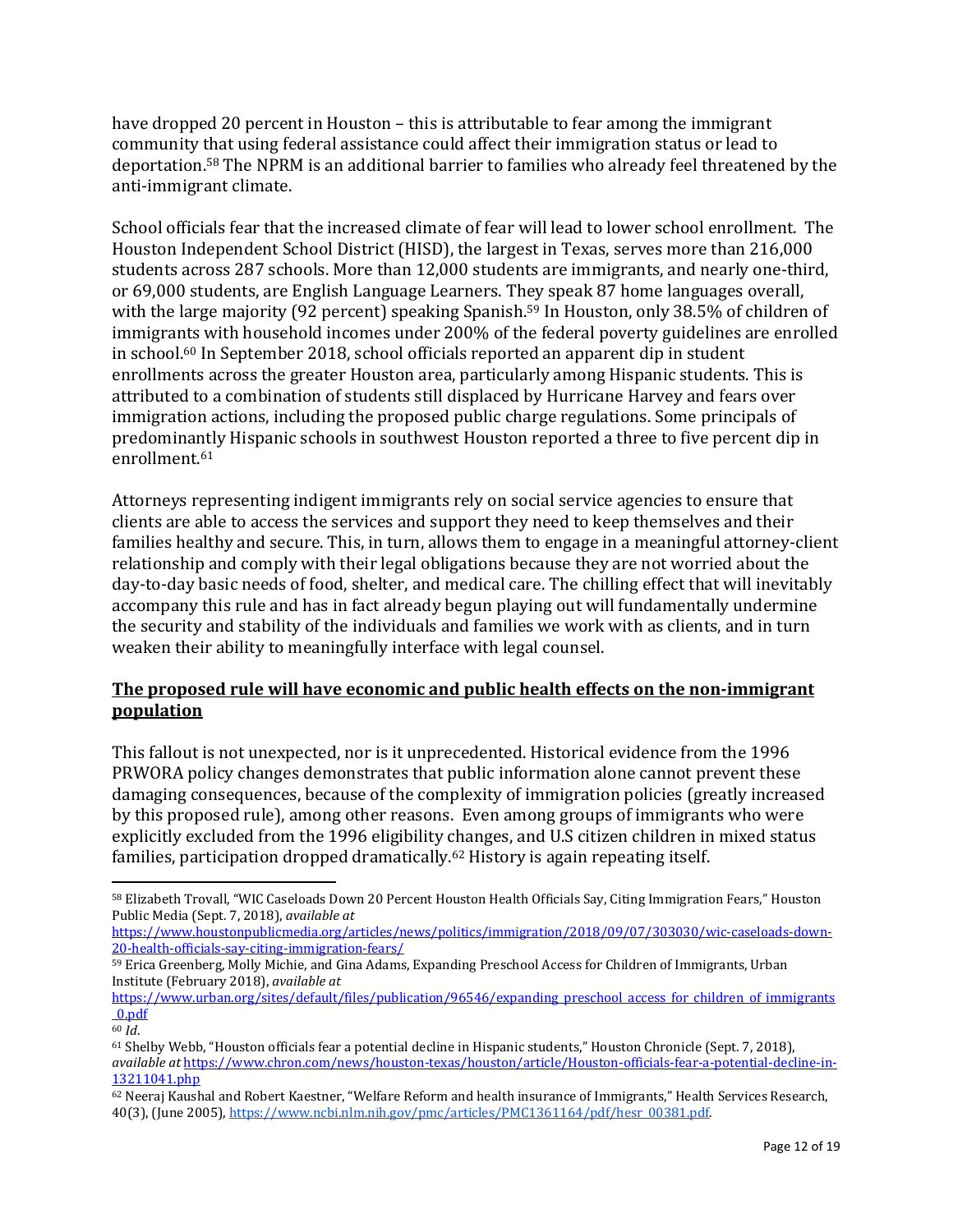have dropped 20 percent in Houston – this is attributable to fear among the immigrant community that using federal assistance could affect their immigration status or lead to deportation.<sup>58</sup> The NPRM is an additional barrier to families who already feel threatened by the anti-immigrant climate.

School officials fear that the increased climate of fear will lead to lower school enrollment. The Houston Independent School District (HISD), the largest in Texas, serves more than 216,000 students across 287 schools. More than 12,000 students are immigrants, and nearly one-third, or 69,000 students, are English Language Learners. They speak 87 home languages overall, with the large majority (92 percent) speaking Spanish.<sup>59</sup> In Houston, only 38.5% of children of immigrants with household incomes under 200% of the federal poverty guidelines are enrolled in school.<sup>60</sup> In September 2018, school officials reported an apparent dip in student enrollments across the greater Houston area, particularly among Hispanic students. This is attributed to a combination of students still displaced by Hurricane Harvey and fears over immigration actions, including the proposed public charge regulations. Some principals of predominantly Hispanic schools in southwest Houston reported a three to five percent dip in enrollment.<sup>61</sup>

Attorneys representing indigent immigrants rely on social service agencies to ensure that clients are able to access the services and support they need to keep themselves and their families healthy and secure. This, in turn, allows them to engage in a meaningful attorney-client relationship and comply with their legal obligations because they are not worried about the day-to-day basic needs of food, shelter, and medical care. The chilling effect that will inevitably accompany this rule and has in fact already begun playing out will fundamentally undermine the security and stability of the individuals and families we work with as clients, and in turn weaken their ability to meaningfully interface with legal counsel.

# **The proposed rule will have economic and public health effects on the non-immigrant population**

This fallout is not unexpected, nor is it unprecedented. Historical evidence from the 1996 PRWORA policy changes demonstrates that public information alone cannot prevent these damaging consequences, because of the complexity of immigration policies (greatly increased by this proposed rule), among other reasons. Even among groups of immigrants who were explicitly excluded from the 1996 eligibility changes, and U.S citizen children in mixed status families, participation dropped dramatically.<sup>62</sup> History is again repeating itself.

<sup>58</sup> Elizabeth Trovall, "WIC Caseloads Down 20 Percent Houston Health Officials Say, Citing Immigration Fears," Houston Public Media (Sept. 7, 2018), *available at*

[https://www.houstonpublicmedia.org/articles/news/politics/immigration/2018/09/07/303030/wic-caseloads-down-](https://www.houstonpublicmedia.org/articles/news/politics/immigration/2018/09/07/303030/wic-caseloads-down-20-health-officials-say-citing-immigration-fears/)[20-health-officials-say-citing-immigration-fears/](https://www.houstonpublicmedia.org/articles/news/politics/immigration/2018/09/07/303030/wic-caseloads-down-20-health-officials-say-citing-immigration-fears/)

<sup>59</sup> Erica Greenberg, Molly Michie, and Gina Adams, Expanding Preschool Access for Children of Immigrants, Urban Institute (February 2018), *available at*

[https://www.urban.org/sites/default/files/publication/96546/expanding\\_preschool\\_access\\_for\\_children\\_of\\_immigrants](https://www.urban.org/sites/default/files/publication/96546/expanding_preschool_access_for_children_of_immigrants_0.pdf) [\\_0.pdf](https://www.urban.org/sites/default/files/publication/96546/expanding_preschool_access_for_children_of_immigrants_0.pdf)

<sup>60</sup> *Id*.

<sup>61</sup> Shelby Webb, "Houston officials fear a potential decline in Hispanic students," Houston Chronicle (Sept. 7, 2018), *available at* [https://www.chron.com/news/houston-texas/houston/article/Houston-officials-fear-a-potential-decline-in-](https://www.chron.com/news/houston-texas/houston/article/Houston-officials-fear-a-potential-decline-in-13211041.php)[13211041.php](https://www.chron.com/news/houston-texas/houston/article/Houston-officials-fear-a-potential-decline-in-13211041.php)

<sup>62</sup> Neeraj Kaushal and Robert Kaestner, "Welfare Reform and health insurance of Immigrants," Health Services Research, 40(3), (June 2005)[, https://www.ncbi.nlm.nih.gov/pmc/articles/PMC1361164/pdf/hesr\\_00381.pdf.](https://www.ncbi.nlm.nih.gov/pmc/articles/PMC1361164/pdf/hesr_00381.pdf)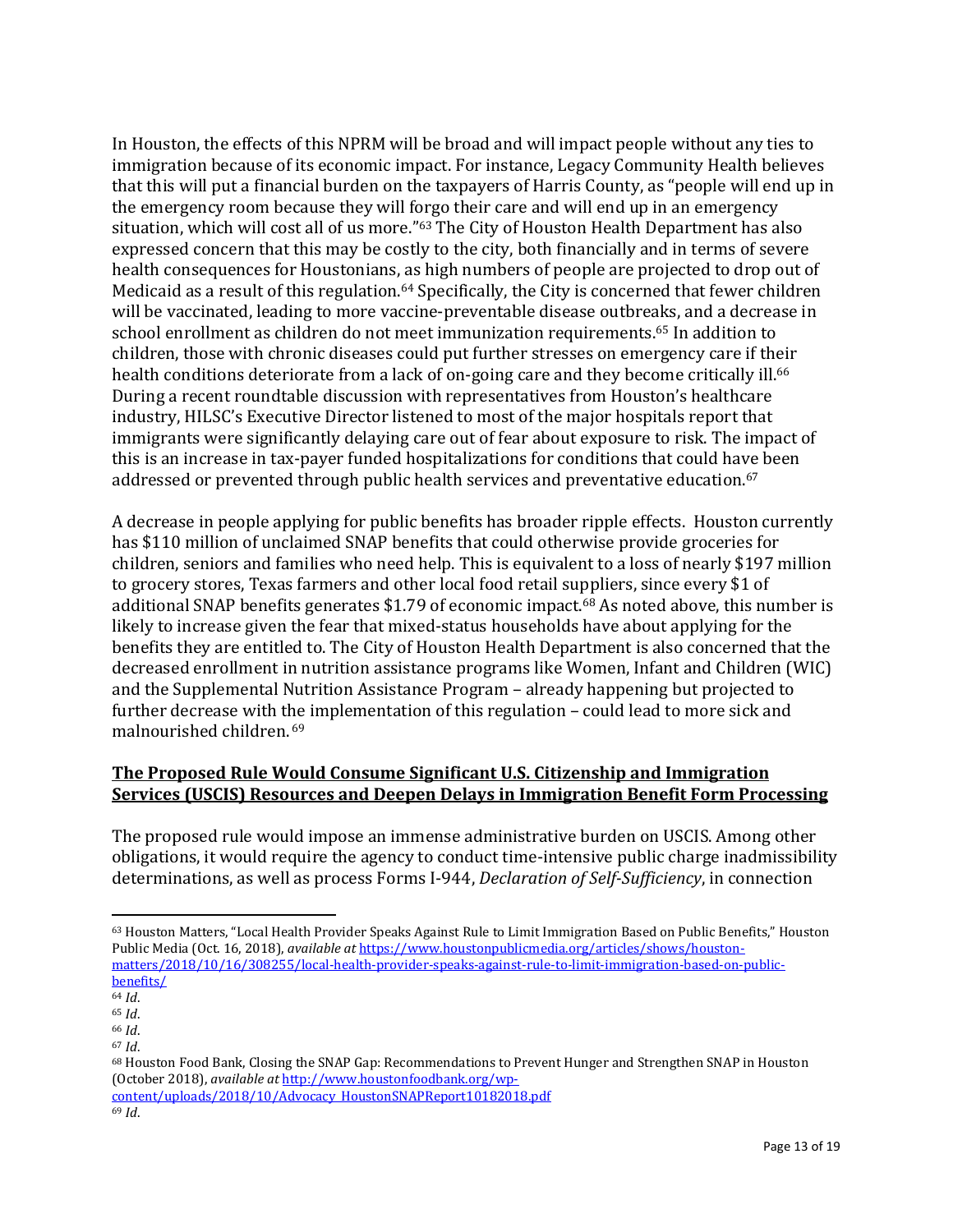In Houston, the effects of this NPRM will be broad and will impact people without any ties to immigration because of its economic impact. For instance, Legacy Community Health believes that this will put a financial burden on the taxpayers of Harris County, as "people will end up in the emergency room because they will forgo their care and will end up in an emergency situation, which will cost all of us more."<sup>63</sup> The City of Houston Health Department has also expressed concern that this may be costly to the city, both financially and in terms of severe health consequences for Houstonians, as high numbers of people are projected to drop out of Medicaid as a result of this regulation.<sup>64</sup> Specifically, the City is concerned that fewer children will be vaccinated, leading to more vaccine-preventable disease outbreaks, and a decrease in school enrollment as children do not meet immunization requirements.<sup>65</sup> In addition to children, those with chronic diseases could put further stresses on emergency care if their health conditions deteriorate from a lack of on-going care and they become critically ill.<sup>66</sup> During a recent roundtable discussion with representatives from Houston's healthcare industry, HILSC's Executive Director listened to most of the major hospitals report that immigrants were significantly delaying care out of fear about exposure to risk. The impact of this is an increase in tax-payer funded hospitalizations for conditions that could have been addressed or prevented through public health services and preventative education. 67

A decrease in people applying for public benefits has broader ripple effects. Houston currently has \$110 million of unclaimed SNAP benefits that could otherwise provide groceries for children, seniors and families who need help. This is equivalent to a loss of nearly \$197 million to grocery stores, Texas farmers and other local food retail suppliers, since every \$1 of additional SNAP benefits generates \$1.79 of economic impact.<sup>68</sup> As noted above, this number is likely to increase given the fear that mixed-status households have about applying for the benefits they are entitled to. The City of Houston Health Department is also concerned that the decreased enrollment in nutrition assistance programs like Women, Infant and Children (WIC) and the Supplemental Nutrition Assistance Program – already happening but projected to further decrease with the implementation of this regulation – could lead to more sick and malnourished children. <sup>69</sup>

# **The Proposed Rule Would Consume Significant U.S. Citizenship and Immigration Services (USCIS) Resources and Deepen Delays in Immigration Benefit Form Processing**

The proposed rule would impose an immense administrative burden on USCIS. Among other obligations, it would require the agency to conduct time-intensive public charge inadmissibility determinations, as well as process Forms I-944, *Declaration of Self-Sufficiency*, in connection

 $\overline{\phantom{a}}$ 

<sup>68</sup> Houston Food Bank, Closing the SNAP Gap: Recommendations to Prevent Hunger and Strengthen SNAP in Houston (October 2018), *available at* [http://www.houstonfoodbank.org/wp-](http://www.houstonfoodbank.org/wp-content/uploads/2018/10/Advocacy_HoustonSNAPReport10182018.pdf)

[content/uploads/2018/10/Advocacy\\_HoustonSNAPReport10182018.pdf](http://www.houstonfoodbank.org/wp-content/uploads/2018/10/Advocacy_HoustonSNAPReport10182018.pdf) <sup>69</sup> *Id*.

<sup>63</sup> Houston Matters, "Local Health Provider Speaks Against Rule to Limit Immigration Based on Public Benefits," Houston Public Media (Oct. 16, 2018), *available at* [https://www.houstonpublicmedia.org/articles/shows/houston](https://www.houstonpublicmedia.org/articles/shows/houston-matters/2018/10/16/308255/local-health-provider-speaks-against-rule-to-limit-immigration-based-on-public-benefits/)[matters/2018/10/16/308255/local-health-provider-speaks-against-rule-to-limit-immigration-based-on-public](https://www.houstonpublicmedia.org/articles/shows/houston-matters/2018/10/16/308255/local-health-provider-speaks-against-rule-to-limit-immigration-based-on-public-benefits/)[benefits/](https://www.houstonpublicmedia.org/articles/shows/houston-matters/2018/10/16/308255/local-health-provider-speaks-against-rule-to-limit-immigration-based-on-public-benefits/)

<sup>64</sup> *Id*.

<sup>65</sup> *Id*.

<sup>66</sup> *Id*.

<sup>67</sup> *Id*.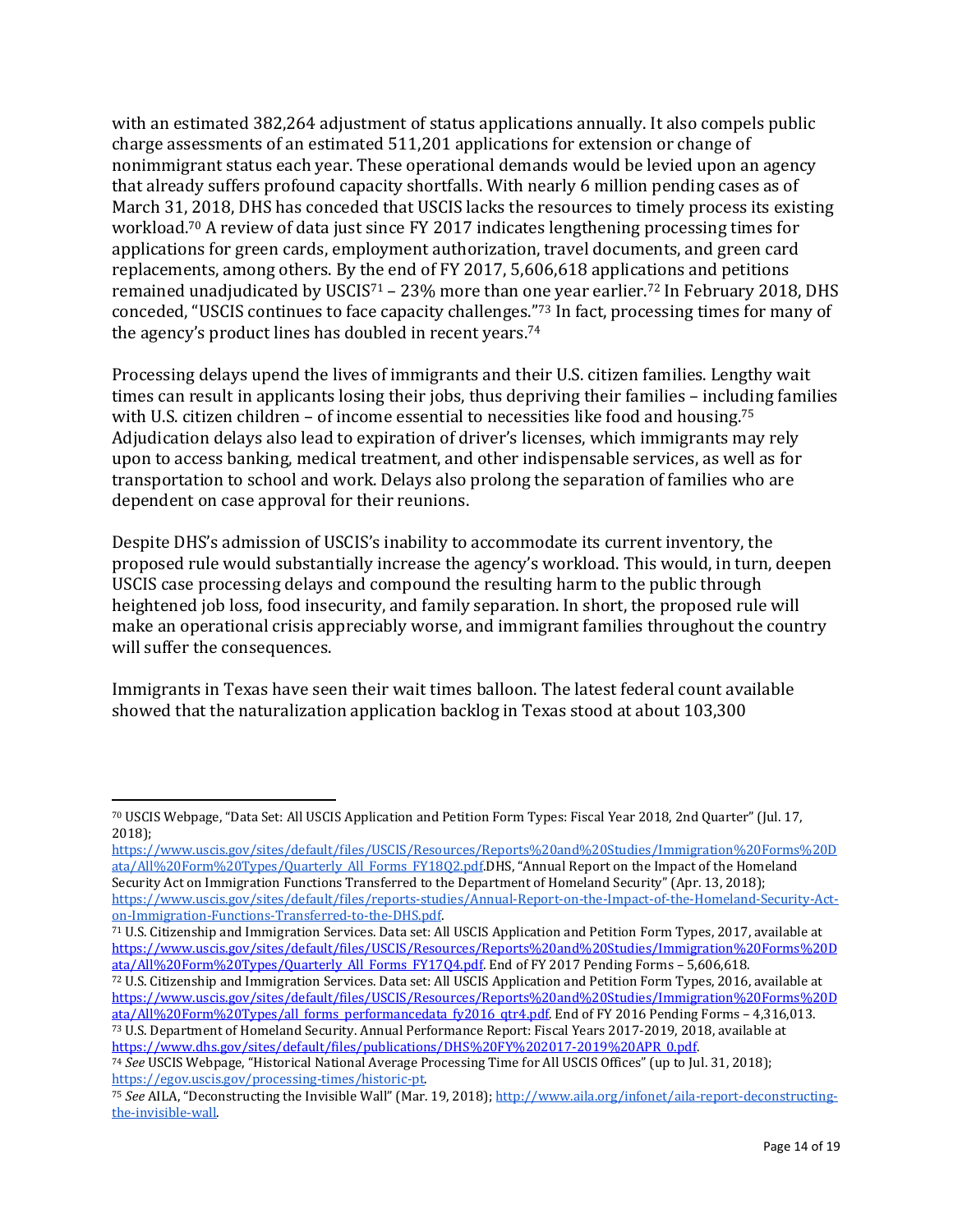with an estimated 382,264 adjustment of status applications annually. It also compels public charge assessments of an estimated 511,201 applications for extension or change of nonimmigrant status each year. These operational demands would be levied upon an agency that already suffers profound capacity shortfalls. With nearly 6 million pending cases as of March 31, 2018, DHS has conceded that USCIS lacks the resources to timely process its existing workload.<sup>70</sup> A review of data just since FY 2017 indicates lengthening processing times for applications for green cards, employment authorization, travel documents, and green card replacements, among others. By the end of FY 2017, 5,606,618 applications and petitions remained unadjudicated by USCIS<sup>71</sup> – 23% more than one year earlier.<sup>72</sup> In February 2018, DHS conceded, "USCIS continues to face capacity challenges."<sup>73</sup> In fact, processing times for many of the agency's product lines has doubled in recent years.<sup>74</sup>

Processing delays upend the lives of immigrants and their U.S. citizen families. Lengthy wait times can result in applicants losing their jobs, thus depriving their families – including families with U.S. citizen children – of income essential to necessities like food and housing.<sup>75</sup> Adjudication delays also lead to expiration of driver's licenses, which immigrants may rely upon to access banking, medical treatment, and other indispensable services, as well as for transportation to school and work. Delays also prolong the separation of families who are dependent on case approval for their reunions.

Despite DHS's admission of USCIS's inability to accommodate its current inventory, the proposed rule would substantially increase the agency's workload. This would, in turn, deepen USCIS case processing delays and compound the resulting harm to the public through heightened job loss, food insecurity, and family separation. In short, the proposed rule will make an operational crisis appreciably worse, and immigrant families throughout the country will suffer the consequences.

Immigrants in Texas have seen their wait times balloon. The latest federal count available showed that the naturalization application backlog in Texas stood at about 103,300

 $\overline{a}$ 

[https://www.uscis.gov/sites/default/files/USCIS/Resources/Reports%20and%20Studies/Immigration%20Forms%20D](https://www.uscis.gov/sites/default/files/USCIS/Resources/Reports%20and%20Studies/Immigration%20Forms%20Data/All%20Form%20Types/Quarterly_All_Forms_FY18Q2.pdf) [ata/All%20Form%20Types/Quarterly\\_All\\_Forms\\_FY18Q2.pdf.D](https://www.uscis.gov/sites/default/files/USCIS/Resources/Reports%20and%20Studies/Immigration%20Forms%20Data/All%20Form%20Types/Quarterly_All_Forms_FY18Q2.pdf)HS, "Annual Report on the Impact of the Homeland Security Act on Immigration Functions Transferred to the Department of Homeland Security" (Apr. 13, 2018)[;](https://www.uscis.gov/sites/default/files/reports-studies/Annual-Report-on-the-Impact-of-the-Homeland-Security-Act-on-Immigration-Functions-Transferred-to-the-DHS.pdf) [https://www.uscis.gov/sites/default/files/reports-studies/Annual-Report-on-the-Impact-of-the-Homeland-Security-Act](https://www.uscis.gov/sites/default/files/reports-studies/Annual-Report-on-the-Impact-of-the-Homeland-Security-Act-on-Immigration-Functions-Transferred-to-the-DHS.pdf)[on-Immigration-Functions-Transferred-to-the-DHS.pdf.](https://www.uscis.gov/sites/default/files/reports-studies/Annual-Report-on-the-Impact-of-the-Homeland-Security-Act-on-Immigration-Functions-Transferred-to-the-DHS.pdf)

<sup>71</sup> U.S. Citizenship and Immigration Services. Data set: All USCIS Application and Petition Form Types, 2017, available at [https://www.uscis.gov/sites/default/files/USCIS/Resources/Reports%20and%20Studies/Immigration%20Forms%20D](https://www.uscis.gov/sites/default/files/USCIS/Resources/Reports%20and%20Studies/Immigration%20Forms%20Data/All%20Form%20Types/Quarterly_All_Forms_FY17Q4.pdf) [ata/All%20Form%20Types/Quarterly\\_All\\_Forms\\_FY17Q4.pdf.](https://www.uscis.gov/sites/default/files/USCIS/Resources/Reports%20and%20Studies/Immigration%20Forms%20Data/All%20Form%20Types/Quarterly_All_Forms_FY17Q4.pdf) End of FY 2017 Pending Forms - 5,606,618.

<sup>72</sup> U.S. Citizenship and Immigration Services. Data set: All USCIS Application and Petition Form Types, 2016, available at [https://www.uscis.gov/sites/default/files/USCIS/Resources/Reports%20and%20Studies/Immigration%20Forms%20D](https://www.uscis.gov/sites/default/files/USCIS/Resources/Reports%20and%20Studies/Immigration%20Forms%20Data/All%20Form%20Types/all_forms_performancedata_fy2016_qtr4.pdf) [ata/All%20Form%20Types/all\\_forms\\_performancedata\\_fy2016\\_qtr4.pdf.](https://www.uscis.gov/sites/default/files/USCIS/Resources/Reports%20and%20Studies/Immigration%20Forms%20Data/All%20Form%20Types/all_forms_performancedata_fy2016_qtr4.pdf) End of FY 2016 Pending Forms – 4,316,013. <sup>73</sup> U.S. Department of Homeland Security. Annual Performance Report: Fiscal Years 2017-2019, 2018, available at [https://www.dhs.gov/sites/default/files/publications/DHS%20FY%202017-2019%20APR\\_0.pdf.](https://www.dhs.gov/sites/default/files/publications/DHS%20FY%202017-2019%20APR_0.pdf)

<sup>70</sup> USCIS Webpage, "Data Set: All USCIS Application and Petition Form Types: Fiscal Year 2018, 2nd Quarter" (Jul. 17, 2018[\);](https://www.uscis.gov/sites/default/files/USCIS/Resources/Reports%20and%20Studies/Immigration%20Forms%20Data/All%20Form%20Types/Quarterly_All_Forms_FY18Q2.pdf)

<sup>74</sup> *See* USCIS Webpage, "Historical National Average Processing Time for All USCIS Offices" (up to Jul. 31, 2018[\);](https://egov.uscis.gov/processing-times/historic-pt) [https://egov.uscis.gov/processing-times/historic-pt.](https://egov.uscis.gov/processing-times/historic-pt)

<sup>75</sup> *See* AILA, "Deconstructing the Invisible Wall" (Mar. 19, 2018[\);](http://www.aila.org/infonet/aila-report-deconstructing-the-invisible-wall) [http://www.aila.org/infonet/aila-report-deconstructing](http://www.aila.org/infonet/aila-report-deconstructing-the-invisible-wall)[the-invisible-wall.](http://www.aila.org/infonet/aila-report-deconstructing-the-invisible-wall)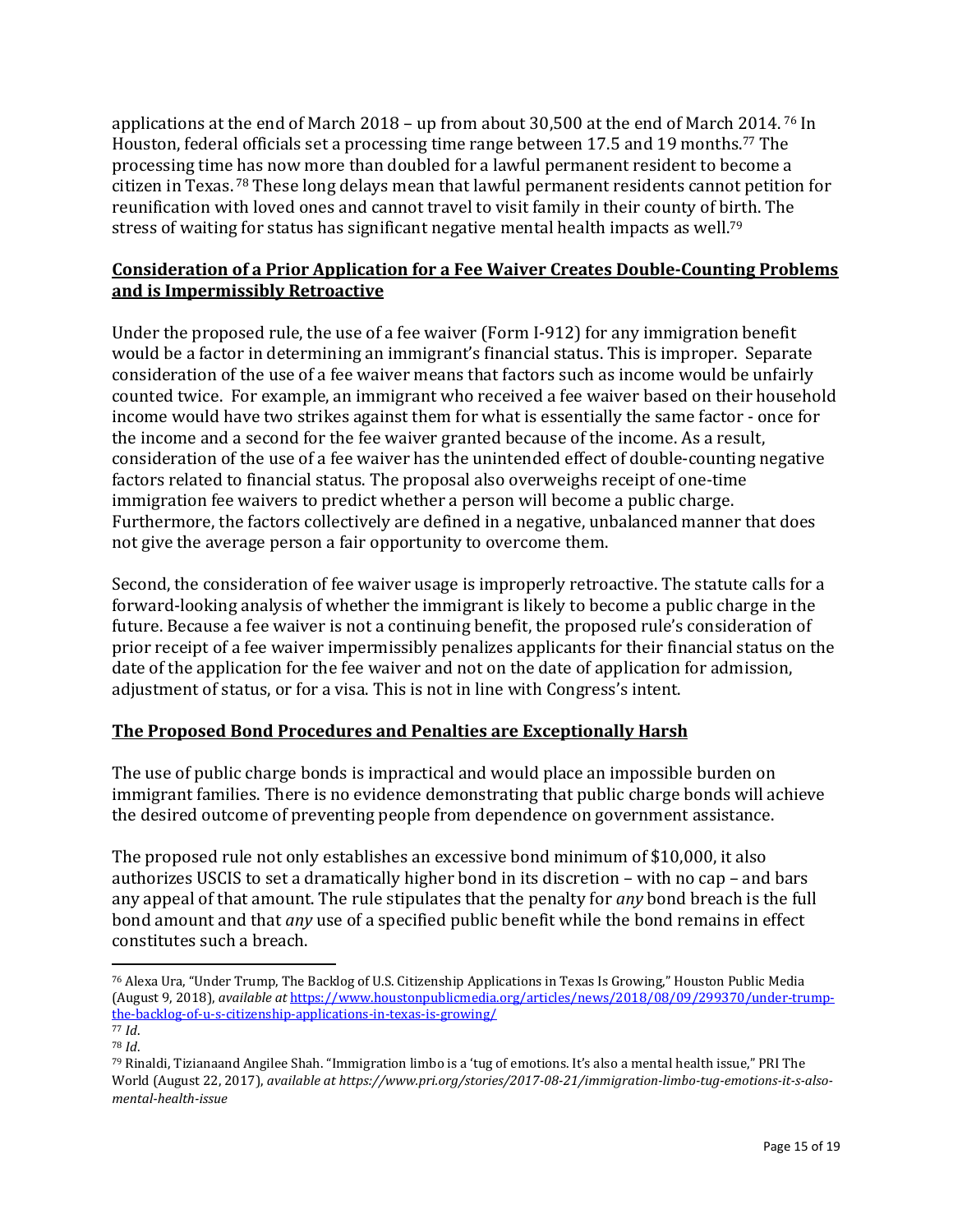applications at the end of March 2018 – up from about 30,500 at the end of March 2014. <sup>76</sup> In Houston, federal officials set a processing time range between 17.5 and 19 months.<sup>77</sup> The processing time has now more than doubled for a lawful permanent resident to become a citizen in Texas. <sup>78</sup> These long delays mean that lawful permanent residents cannot petition for reunification with loved ones and cannot travel to visit family in their county of birth. The stress of waiting for status has significant negative mental health impacts as well.<sup>79</sup>

## **Consideration of a Prior Application for a Fee Waiver Creates Double-Counting Problems and is Impermissibly Retroactive**

Under the proposed rule, the use of a fee waiver (Form I-912) for any immigration benefit would be a factor in determining an immigrant's financial status. This is improper. Separate consideration of the use of a fee waiver means that factors such as income would be unfairly counted twice. For example, an immigrant who received a fee waiver based on their household income would have two strikes against them for what is essentially the same factor - once for the income and a second for the fee waiver granted because of the income. As a result, consideration of the use of a fee waiver has the unintended effect of double-counting negative factors related to financial status. The proposal also overweighs receipt of one-time immigration fee waivers to predict whether a person will become a public charge. Furthermore, the factors collectively are defined in a negative, unbalanced manner that does not give the average person a fair opportunity to overcome them.

Second, the consideration of fee waiver usage is improperly retroactive. The statute calls for a forward-looking analysis of whether the immigrant is likely to become a public charge in the future. Because a fee waiver is not a continuing benefit, the proposed rule's consideration of prior receipt of a fee waiver impermissibly penalizes applicants for their financial status on the date of the application for the fee waiver and not on the date of application for admission, adjustment of status, or for a visa. This is not in line with Congress's intent.

# **The Proposed Bond Procedures and Penalties are Exceptionally Harsh**

The use of public charge bonds is impractical and would place an impossible burden on immigrant families. There is no evidence demonstrating that public charge bonds will achieve the desired outcome of preventing people from dependence on government assistance.

The proposed rule not only establishes an excessive bond minimum of \$10,000, it also authorizes USCIS to set a dramatically higher bond in its discretion – with no cap – and bars any appeal of that amount. The rule stipulates that the penalty for *any* bond breach is the full bond amount and that *any* use of a specified public benefit while the bond remains in effect constitutes such a breach.

<sup>76</sup> Alexa Ura, "Under Trump, The Backlog of U.S. Citizenship Applications in Texas Is Growing," Houston Public Media (August 9, 2018), *available at* [https://www.houstonpublicmedia.org/articles/news/2018/08/09/299370/under-trump](https://www.houstonpublicmedia.org/articles/news/2018/08/09/299370/under-trump-the-backlog-of-u-s-citizenship-applications-in-texas-is-growing/)[the-backlog-of-u-s-citizenship-applications-in-texas-is-growing/](https://www.houstonpublicmedia.org/articles/news/2018/08/09/299370/under-trump-the-backlog-of-u-s-citizenship-applications-in-texas-is-growing/)

<sup>77</sup> *Id*. <sup>78</sup> *Id*.

<sup>79</sup> [Rinaldi,](https://www.pri.org/people/tiziana-rinaldi) Tizianaand [Angilee Shah.](https://www.pri.org/people/angilee-shah) "Immigration limbo is a 'tug of emotions. It's also a mental health issue," PRI The World (August 22, 2017), *available at https://www.pri.org/stories/2017-08-21/immigration-limbo-tug-emotions-it-s-alsomental-health-issue*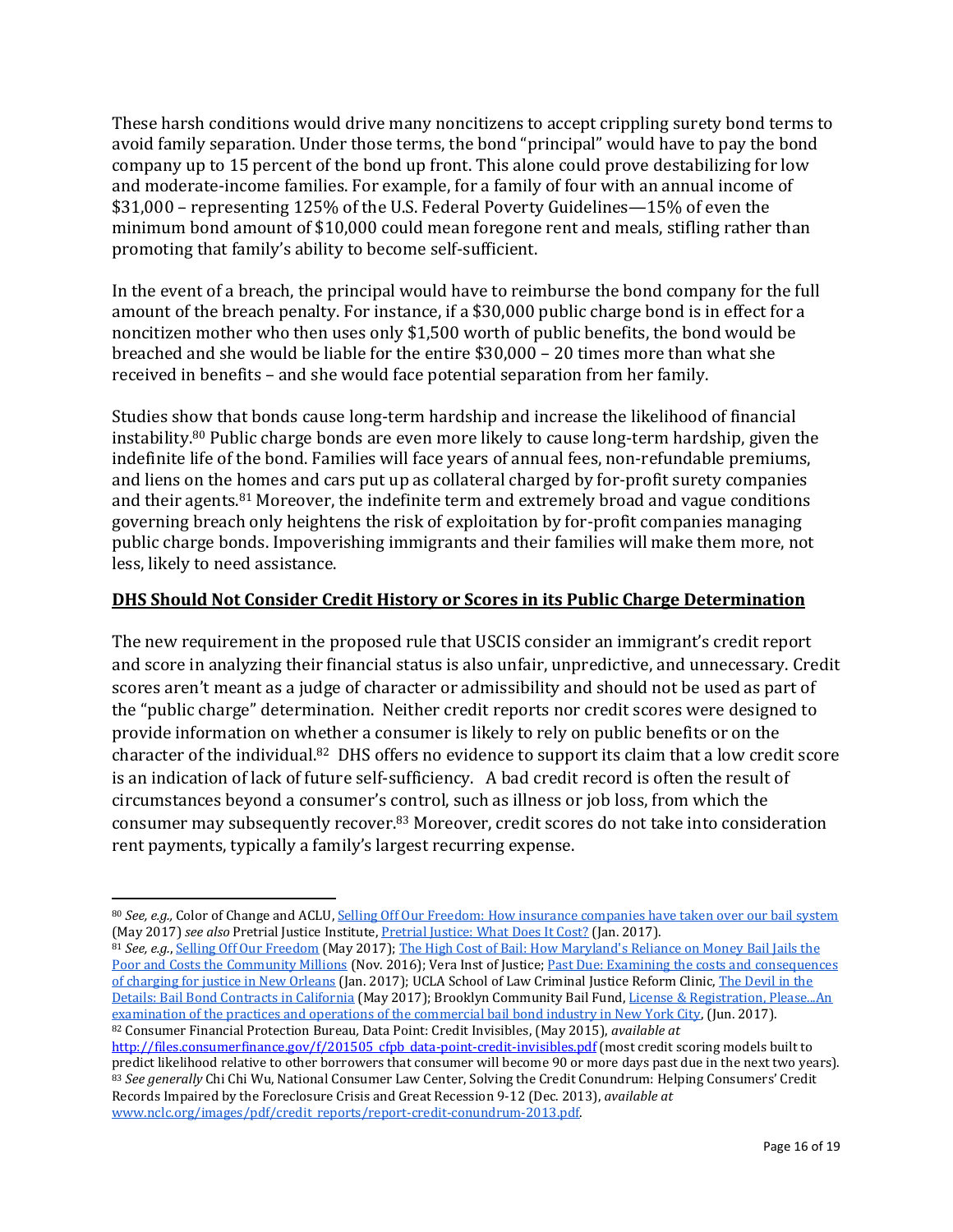These harsh conditions would drive many noncitizens to accept crippling surety bond terms to avoid family separation. Under those terms, the bond "principal" would have to pay the bond company up to 15 percent of the bond up front. This alone could prove destabilizing for low and moderate-income families. For example, for a family of four with an annual income of \$31,000 – representing 125% of the U.S. Federal Poverty Guidelines—15% of even the minimum bond amount of \$10,000 could mean foregone rent and meals, stifling rather than promoting that family's ability to become self-sufficient.

In the event of a breach, the principal would have to reimburse the bond company for the full amount of the breach penalty. For instance, if a \$30,000 public charge bond is in effect for a noncitizen mother who then uses only \$1,500 worth of public benefits, the bond would be breached and she would be liable for the entire \$30,000 – 20 times more than what she received in benefits – and she would face potential separation from her family.

Studies show that bonds cause long-term hardship and increase the likelihood of financial instability.<sup>80</sup> Public charge bonds are even more likely to cause long-term hardship, given the indefinite life of the bond. Families will face years of annual fees, non-refundable premiums, and liens on the homes and cars put up as collateral charged by for-profit surety companies and their agents.<sup>81</sup> Moreover, the indefinite term and extremely broad and vague conditions governing breach only heightens the risk of exploitation by for-profit companies managing public charge bonds. Impoverishing immigrants and their families will make them more, not less, likely to need assistance.

#### **DHS Should Not Consider Credit History or Scores in its Public Charge Determination**

The new requirement in the proposed rule that USCIS consider an immigrant's credit report and score in analyzing their financial status is also unfair, unpredictive, and unnecessary. Credit scores aren't meant as a judge of character or admissibility and should not be used as part of the "public charge" determination. Neither credit reports nor credit scores were designed to provide information on whether a consumer is likely to rely on public benefits or on the character of the individual.<sup>82</sup> DHS offers no evidence to support its claim that a low credit score is an indication of lack of future self-sufficiency. A bad credit record is often the result of circumstances beyond a consumer's control, such as illness or job loss, from which the consumer may subsequently recover.<sup>83</sup> Moreover, credit scores do not take into consideration rent payments, typically a family's largest recurring expense.

 $\overline{\phantom{a}}$ 

<sup>81</sup> *See, e.g.*[, Selling Off Our Freedom](https://d11gn0ip9m46ig.cloudfront.net/images/059_Bail_Report.pdf) (May 2017)[; The High Cost of Bail: How Maryland's Reliance on Money Bail Jails the](http://www.opd.state.md.us/Portals/0/Downloads/High%20Cost%20of%20Bail.pdf)  [Poor and Costs the Community Millions](http://www.opd.state.md.us/Portals/0/Downloads/High%20Cost%20of%20Bail.pdf) (Nov. 2016); Vera Inst of Justice[; Past Due: Examining the costs and consequences](https://www.vera.org/publications/past-due-costs-consequences-charging-for-justice-new-orleans)  [of charging for justice in New Orleans](https://www.vera.org/publications/past-due-costs-consequences-charging-for-justice-new-orleans) (Jan. 2017); UCLA School of Law Criminal Justice Reform Clinic[, The Devil in the](https://static.prisonpolicy.org/scans/UCLA_Devil%20_in_the_Details.pdf)  [Details: Bail Bond Contracts in California](https://static.prisonpolicy.org/scans/UCLA_Devil%20_in_the_Details.pdf) (May 2017); Brooklyn Community Bail Fund[, License & Registration, Please...An](https://static1.squarespace.com/static/5824a5aa579fb35e65295211/t/594c39758419c243fdb27cad/1498167672801/NYCBailBondReport_ExecSummary.pdf)  [examination of the practices and operations of the commercial bail bond industry in New York City,](https://static1.squarespace.com/static/5824a5aa579fb35e65295211/t/594c39758419c243fdb27cad/1498167672801/NYCBailBondReport_ExecSummary.pdf) (Jun. 2017). <sup>82</sup> Consumer Financial Protection Bureau*,* Data Point: Credit Invisibles, (May 2015), *available at*

<sup>80</sup> *See, e.g.,* Color of Change and ACLU[, Selling Off Our Freedom: How insurance companies have taken over our bail system](https://d11gn0ip9m46ig.cloudfront.net/images/059_Bail_Report.pdf) (May 2017) *see also* Pretrial Justice Institute[, Pretrial Justice: What Does It Cost?](https://university.pretrial.org/HigherLogic/System/DownloadDocumentFile.ashx?DocumentFileKey=4c666992-0b1b-632a-13cb-b4ddc66fadcd&forceDialog=0) (Jan. 2017).

[http://files.consumerfinance.gov/f/201505\\_cfpb\\_data-point-credit-invisibles.pdf](http://files.consumerfinance.gov/f/201505_cfpb_data-point-credit-invisibles.pdf) (most credit scoring models built to predict likelihood relative to other borrowers that consumer will become 90 or more days past due in the next two years). <sup>83</sup> *See generally* Chi Chi Wu, National Consumer Law Center, Solving the Credit Conundrum: Helping Consumers' Credit Records Impaired by the Foreclosure Crisis and Great Recession 9-12 (Dec. 2013), *available at* [www.nclc.org/images/pdf/credit\\_reports/report-credit-conundrum-2013.pdf.](http://www.nclc.org/images/pdf/credit_reports/report-credit-conundrum-2013.pdf)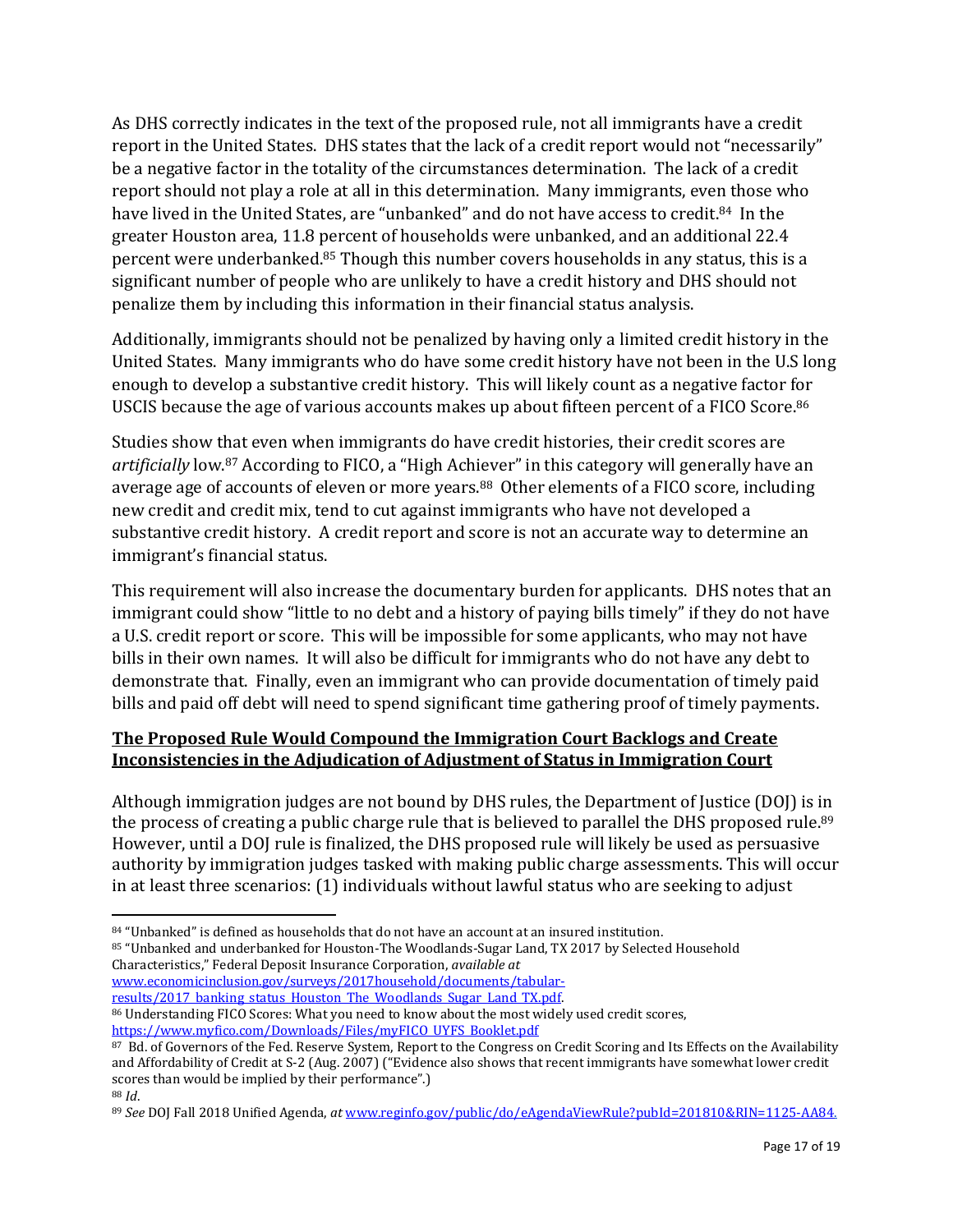As DHS correctly indicates in the text of the proposed rule, not all immigrants have a credit report in the United States. DHS states that the lack of a credit report would not "necessarily" be a negative factor in the totality of the circumstances determination. The lack of a credit report should not play a role at all in this determination. Many immigrants, even those who have lived in the United States, are "unbanked" and do not have access to credit.<sup>84</sup> In the greater Houston area, 11.8 percent of households were unbanked, and an additional 22.4 percent were underbanked.<sup>85</sup> Though this number covers households in any status, this is a significant number of people who are unlikely to have a credit history and DHS should not penalize them by including this information in their financial status analysis.

Additionally, immigrants should not be penalized by having only a limited credit history in the United States. Many immigrants who do have some credit history have not been in the U.S long enough to develop a substantive credit history. This will likely count as a negative factor for USCIS because the age of various accounts makes up about fifteen percent of a FICO Score.<sup>86</sup>

Studies show that even when immigrants do have credit histories, their credit scores are *artificially* low.<sup>87</sup> According to FICO, a "High Achiever" in this category will generally have an average age of accounts of eleven or more years.<sup>88</sup> Other elements of a FICO score, including new credit and credit mix, tend to cut against immigrants who have not developed a substantive credit history. A credit report and score is not an accurate way to determine an immigrant's financial status.

This requirement will also increase the documentary burden for applicants. DHS notes that an immigrant could show "little to no debt and a history of paying bills timely" if they do not have a U.S. credit report or score. This will be impossible for some applicants, who may not have bills in their own names. It will also be difficult for immigrants who do not have any debt to demonstrate that. Finally, even an immigrant who can provide documentation of timely paid bills and paid off debt will need to spend significant time gathering proof of timely payments.

# **The Proposed Rule Would Compound the Immigration Court Backlogs and Create Inconsistencies in the Adjudication of Adjustment of Status in Immigration Court**

Although immigration judges are not bound by DHS rules, the Department of Justice (DOJ) is in the process of creating a public charge rule that is believed to parallel the DHS proposed rule.<sup>89</sup> However, until a DOJ rule is finalized, the DHS proposed rule will likely be used as persuasive authority by immigration judges tasked with making public charge assessments. This will occur in at least three scenarios: (1) individuals without lawful status who are seeking to adjust

<sup>85</sup> "Unbanked and underbanked for Houston-The Woodlands-Sugar Land, TX 2017 by Selected Household Characteristics," Federal Deposit Insurance Corporation, *available at* [www.economicinclusion.gov/surveys/2017household/documents/tabular](http://www.economicinclusion.gov/surveys/2017household/documents/tabular-results/2017_banking_status_Houston_The_Woodlands_Sugar_Land_TX.pdf)results/2017 banking status Houston The Woodlands Sugar Land TX.pdf.

86 Understanding FICO Scores: What you need to know about the most widely used credit scores, [https://www.myfico.com/Downloads/Files/myFICO\\_UYFS\\_Booklet.pdf](https://www.myfico.com/Downloads/Files/myFICO_UYFS_Booklet.pdf)

<sup>88</sup> *Id*.

 $\overline{\phantom{a}}$ 84 "Unbanked" is defined as households that do not have an account at an insured institution.

<sup>87</sup> Bd. of Governors of the Fed. Reserve System, Report to the Congress on Credit Scoring and Its Effects on the Availability and Affordability of Credit at S-2 (Aug. 2007) ("Evidence also shows that recent immigrants have somewhat lower credit scores than would be implied by their performance".)

<sup>89</sup> *See* DOJ Fall 2018 Unified Agenda, *at* [www.reginfo.gov/public/do/eAgendaViewRule?pubId=201810&RIN=1125-AA84.](http://www.reginfo.gov/public/do/eAgendaViewRule?pubId=201810&RIN=1125-AA84)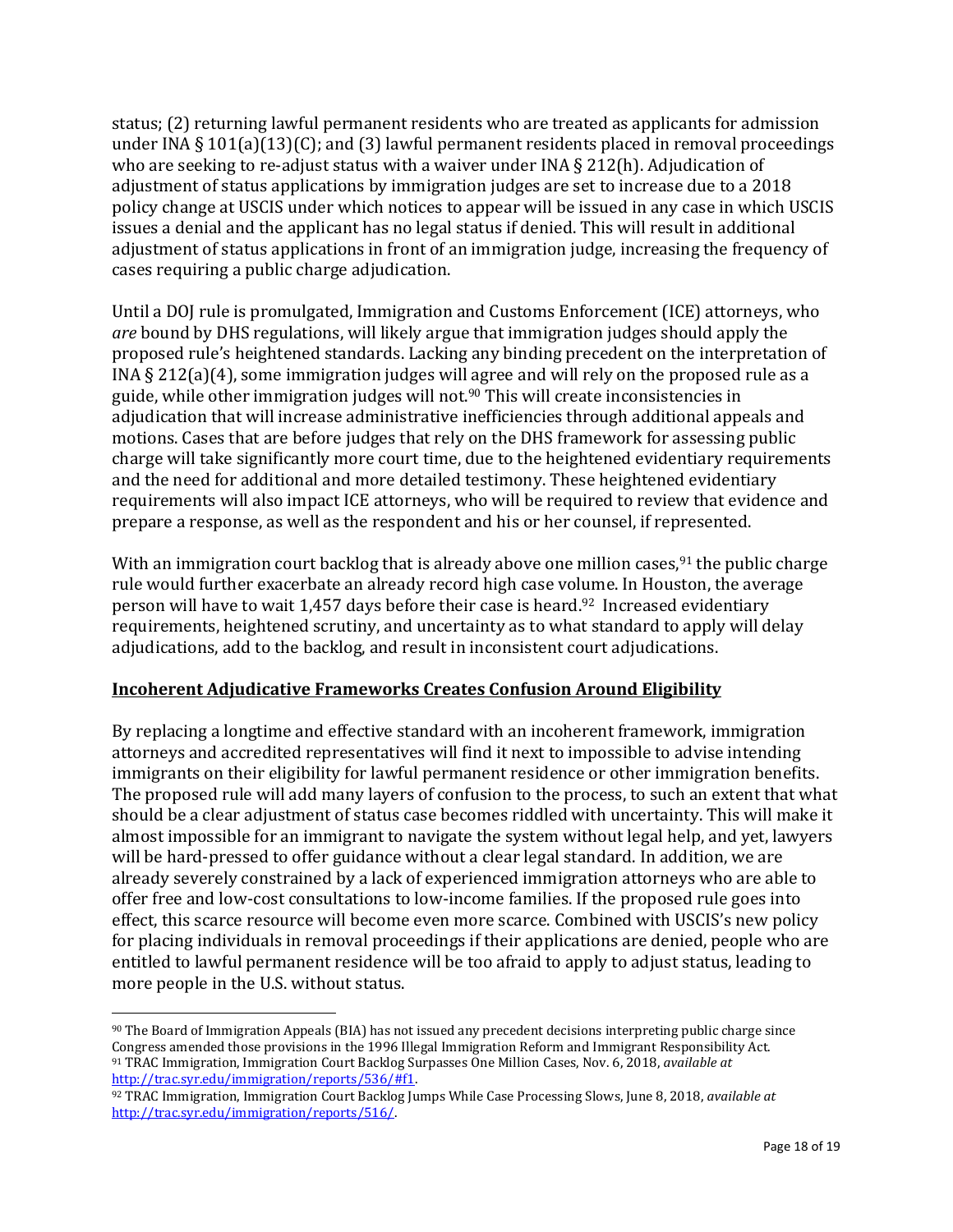status; (2) returning lawful permanent residents who are treated as applicants for admission under INA § 101(a)(13)(C); and (3) lawful permanent residents placed in removal proceedings who are seeking to re-adjust status with a waiver under INA § 212(h). Adjudication of adjustment of status applications by immigration judges are set to increase due to a 2018 policy change at USCIS under which notices to appear will be issued in any case in which USCIS issues a denial and the applicant has no legal status if denied. This will result in additional adjustment of status applications in front of an immigration judge, increasing the frequency of cases requiring a public charge adjudication.

Until a DOJ rule is promulgated, Immigration and Customs Enforcement (ICE) attorneys, who *are* bound by DHS regulations, will likely argue that immigration judges should apply the proposed rule's heightened standards. Lacking any binding precedent on the interpretation of INA § 212(a)(4), some immigration judges will agree and will rely on the proposed rule as a guide, while other immigration judges will not.<sup>90</sup> This will create inconsistencies in adjudication that will increase administrative inefficiencies through additional appeals and motions. Cases that are before judges that rely on the DHS framework for assessing public charge will take significantly more court time, due to the heightened evidentiary requirements and the need for additional and more detailed testimony. These heightened evidentiary requirements will also impact ICE attorneys, who will be required to review that evidence and prepare a response, as well as the respondent and his or her counsel, if represented.

With an immigration court backlog that is already above one million cases,  $91$  the public charge rule would further exacerbate an already record high case volume. In Houston, the average person will have to wait 1,457 days before their case is heard.<sup>92</sup> Increased evidentiary requirements, heightened scrutiny, and uncertainty as to what standard to apply will delay adjudications, add to the backlog, and result in inconsistent court adjudications.

# **Incoherent Adjudicative Frameworks Creates Confusion Around Eligibility**

By replacing a longtime and effective standard with an incoherent framework, immigration attorneys and accredited representatives will find it next to impossible to advise intending immigrants on their eligibility for lawful permanent residence or other immigration benefits. The proposed rule will add many layers of confusion to the process, to such an extent that what should be a clear adjustment of status case becomes riddled with uncertainty. This will make it almost impossible for an immigrant to navigate the system without legal help, and yet, lawyers will be hard-pressed to offer guidance without a clear legal standard. In addition, we are already severely constrained by a lack of experienced immigration attorneys who are able to offer free and low-cost consultations to low-income families. If the proposed rule goes into effect, this scarce resource will become even more scarce. Combined with USCIS's new policy for placing individuals in removal proceedings if their applications are denied, people who are entitled to lawful permanent residence will be too afraid to apply to adjust status, leading to more people in the U.S. without status.

<sup>90</sup> The Board of Immigration Appeals (BIA) has not issued any precedent decisions interpreting public charge since Congress amended those provisions in the 1996 Illegal Immigration Reform and Immigrant Responsibility Act. <sup>91</sup> TRAC Immigration, Immigration Court Backlog Surpasses One Million Cases, Nov. 6, 2018, *available at* [http://trac.syr.edu/immigration/reports/536/#f1.](http://trac.syr.edu/immigration/reports/536/#f1)

<sup>92</sup> TRAC Immigration, Immigration Court Backlog Jumps While Case Processing Slows, June 8, 2018, *available at*  [http://trac.syr.edu/immigration/reports/516/.](http://trac.syr.edu/immigration/reports/516/)